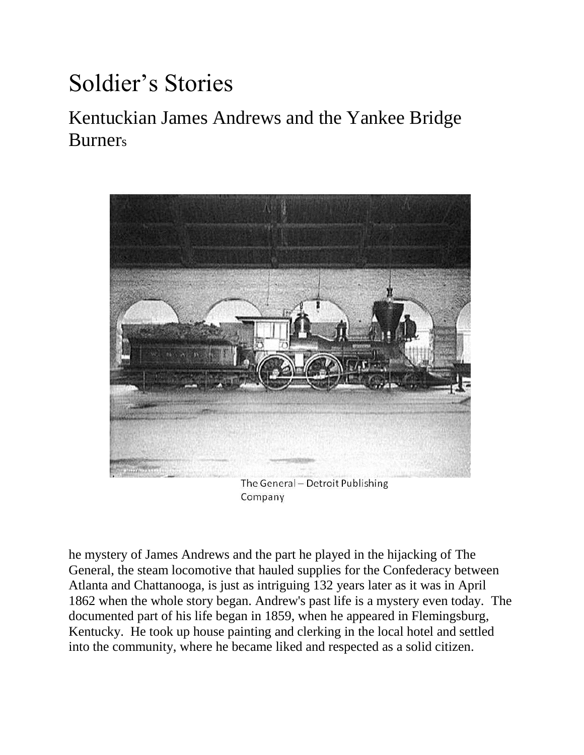# Soldier's Stories

# Kentuckian James Andrews and the Yankee Bridge Burners



The General - Detroit Publishing Company

he mystery of James Andrews and the part he played in the hijacking of [The](http://www.southernmuseum.org/exhibits/the-general/)  [General,](http://www.southernmuseum.org/exhibits/the-general/) the steam locomotive that hauled supplies for the Confederacy between Atlanta and Chattanooga, is just as intriguing 132 years later as it was in April 1862 when the whole story began. Andrew's past life is a mystery even today. The documented part of his life began in 1859, when he appeared in Flemingsburg, Kentucky. He took up house painting and clerking in the local hotel and settled into the community, where he became liked and respected as a solid citizen.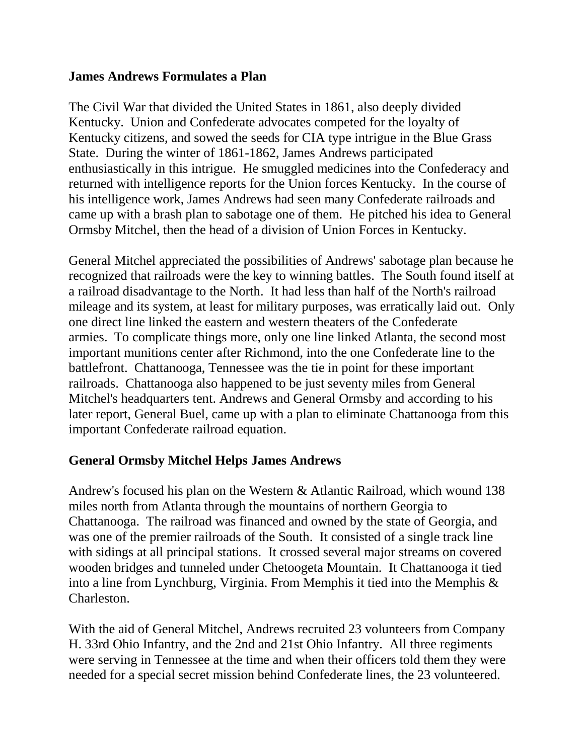#### **James Andrews Formulates a Plan**

The Civil War that divided the United States in 1861, also deeply divided Kentucky. Union and Confederate advocates competed for the loyalty of Kentucky citizens, and sowed the seeds for CIA type intrigue in the Blue Grass State. During the winter of 1861-1862, James Andrews participated enthusiastically in this intrigue. He smuggled medicines into the Confederacy and returned with intelligence reports for the Union forces Kentucky. In the course of his intelligence work, James Andrews had seen many Confederate railroads and came up with a brash plan to sabotage one of them. He pitched his idea to General Ormsby Mitchel, then the head of a division of Union Forces in Kentucky.

General Mitchel appreciated the possibilities of Andrews' sabotage plan because he recognized that railroads were the key to winning battles. The South found itself at a railroad disadvantage to the North. It had less than half of the North's railroad mileage and its system, at least for military purposes, was erratically laid out. Only one direct line linked the eastern and western theaters of the Confederate armies. To complicate things more, only one line linked Atlanta, the second most important munitions center after Richmond, into the one Confederate line to the battlefront. Chattanooga, Tennessee was the tie in point for these important railroads. Chattanooga also happened to be just seventy miles from General Mitchel's headquarters tent. Andrews and General Ormsby and according to his later report, General Buel, came up with a plan to eliminate Chattanooga from this important Confederate railroad equation.

#### **General Ormsby Mitchel Helps James Andrews**

Andrew's focused his plan on the Western & Atlantic Railroad, which wound 138 miles north from Atlanta through the mountains of northern Georgia to Chattanooga. The railroad was financed and owned by the state of Georgia, and was one of the premier railroads of the South. It consisted of a single track line with sidings at all principal stations. It crossed several major streams on covered wooden bridges and tunneled under Chetoogeta Mountain. It Chattanooga it tied into a line from Lynchburg, Virginia. From Memphis it tied into the Memphis & Charleston.

With the aid of General Mitchel, Andrews recruited 23 volunteers from Company H. 33rd Ohio Infantry, and the 2nd and 21st Ohio Infantry. All three regiments were serving in Tennessee at the time and when their officers told them they were needed for a special secret mission behind Confederate lines, the 23 volunteered.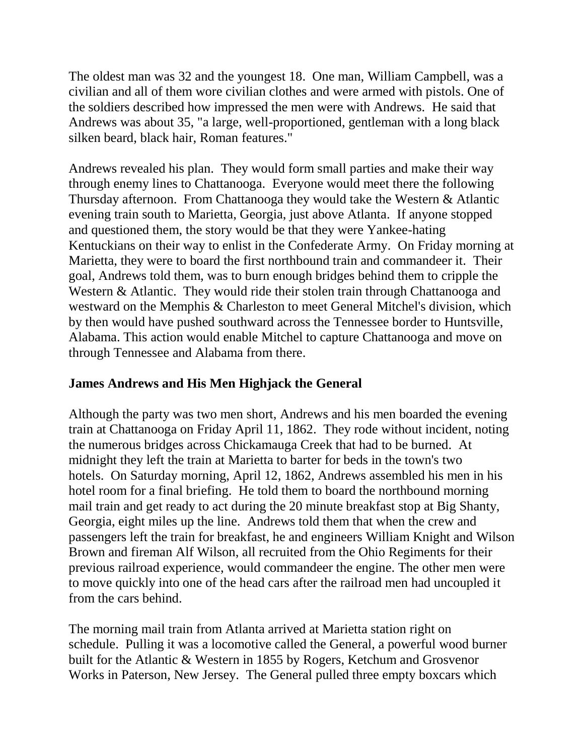The oldest man was 32 and the youngest 18. One man, William Campbell, was a civilian and all of them wore civilian clothes and were armed with pistols. One of the soldiers described how impressed the men were with Andrews. He said that Andrews was about 35, "a large, well-proportioned, gentleman with a long black silken beard, black hair, Roman features."

Andrews revealed his plan. They would form small parties and make their way through enemy lines to Chattanooga. Everyone would meet there the following Thursday afternoon. From Chattanooga they would take the Western & Atlantic evening train south to Marietta, Georgia, just above Atlanta. If anyone stopped and questioned them, the story would be that they were Yankee-hating Kentuckians on their way to enlist in the Confederate Army. On Friday morning at Marietta, they were to board the first northbound train and commandeer it. Their goal, Andrews told them, was to burn enough bridges behind them to cripple the Western & Atlantic. They would ride their stolen train through Chattanooga and westward on the Memphis & Charleston to meet General Mitchel's division, which by then would have pushed southward across the Tennessee border to Huntsville, Alabama. This action would enable Mitchel to capture Chattanooga and move on through Tennessee and Alabama from there.

#### **James Andrews and His Men Highjack the General**

Although the party was two men short, Andrews and his men boarded the evening train at Chattanooga on Friday April 11, 1862. They rode without incident, noting the numerous bridges across Chickamauga Creek that had to be burned. At midnight they left the train at Marietta to barter for beds in the town's two hotels. On Saturday morning, April 12, 1862, Andrews assembled his men in his hotel room for a final briefing. He told them to board the northbound morning mail train and get ready to act during the 20 minute breakfast stop at Big Shanty, Georgia, eight miles up the line. Andrews told them that when the crew and passengers left the train for breakfast, he and engineers William Knight and Wilson Brown and fireman Alf Wilson, all recruited from the Ohio Regiments for their previous railroad experience, would commandeer the engine. The other men were to move quickly into one of the head cars after the railroad men had uncoupled it from the cars behind.

The morning mail train from Atlanta arrived at Marietta station right on schedule. Pulling it was a locomotive called the General, a powerful wood burner built for the Atlantic & Western in 1855 by Rogers, Ketchum and Grosvenor Works in Paterson, New Jersey. The General pulled three empty boxcars which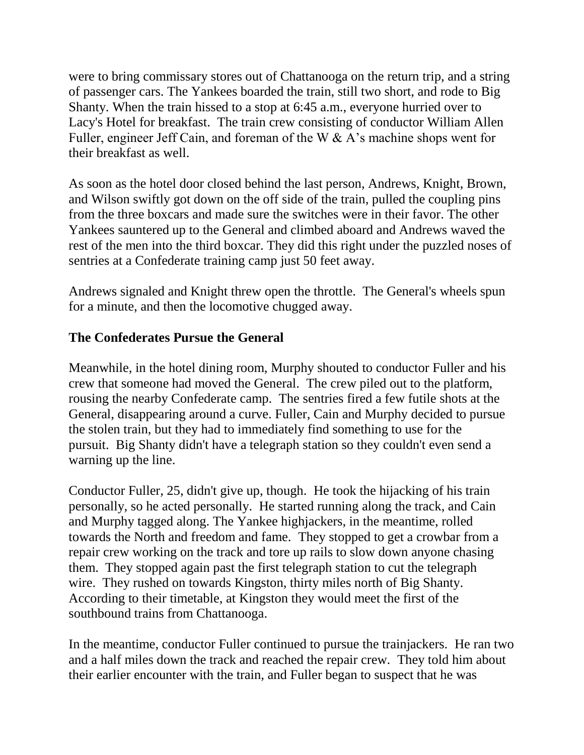were to bring commissary stores out of Chattanooga on the return trip, and a string of passenger cars. The Yankees boarded the train, still two short, and rode to Big Shanty. When the train hissed to a stop at 6:45 a.m., everyone hurried over to Lacy's Hotel for breakfast. The train crew consisting of conductor William Allen Fuller, engineer Jeff Cain, and foreman of the W & A's machine shops went for their breakfast as well.

As soon as the hotel door closed behind the last person, Andrews, Knight, Brown, and Wilson swiftly got down on the off side of the train, pulled the coupling pins from the three boxcars and made sure the switches were in their favor. The other Yankees sauntered up to the General and climbed aboard and Andrews waved the rest of the men into the third boxcar. They did this right under the puzzled noses of sentries at a Confederate training camp just 50 feet away.

Andrews signaled and Knight threw open the throttle. The General's wheels spun for a minute, and then the locomotive chugged away.

#### **The Confederates Pursue the General**

Meanwhile, in the hotel dining room, Murphy shouted to conductor Fuller and his crew that someone had moved the General. The crew piled out to the platform, rousing the nearby Confederate camp. The sentries fired a few futile shots at the General, disappearing around a curve. Fuller, Cain and Murphy decided to pursue the stolen train, but they had to immediately find something to use for the pursuit. Big Shanty didn't have a telegraph station so they couldn't even send a warning up the line.

Conductor Fuller, 25, didn't give up, though. He took the hijacking of his train personally, so he acted personally. He started running along the track, and Cain and Murphy tagged along. The Yankee highjackers, in the meantime, rolled towards the North and freedom and fame. They stopped to get a crowbar from a repair crew working on the track and tore up rails to slow down anyone chasing them. They stopped again past the first telegraph station to cut the telegraph wire. They rushed on towards Kingston, thirty miles north of Big Shanty. According to their timetable, at Kingston they would meet the first of the southbound trains from Chattanooga.

In the meantime, conductor Fuller continued to pursue the trainjackers. He ran two and a half miles down the track and reached the repair crew. They told him about their earlier encounter with the train, and Fuller began to suspect that he was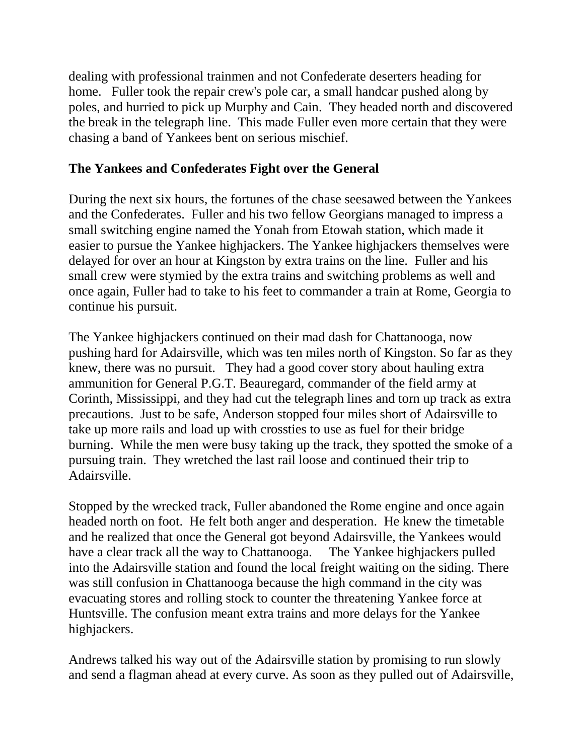dealing with professional trainmen and not Confederate deserters heading for home. Fuller took the repair crew's pole car, a small handcar pushed along by poles, and hurried to pick up Murphy and Cain. They headed north and discovered the break in the telegraph line. This made Fuller even more certain that they were chasing a band of Yankees bent on serious mischief.

#### **The Yankees and Confederates Fight over the General**

During the next six hours, the fortunes of the chase seesawed between the Yankees and the Confederates. Fuller and his two fellow Georgians managed to impress a small switching engine named the Yonah from Etowah station, which made it easier to pursue the Yankee highjackers. The Yankee highjackers themselves were delayed for over an hour at Kingston by extra trains on the line. Fuller and his small crew were stymied by the extra trains and switching problems as well and once again, Fuller had to take to his feet to commander a train at Rome, Georgia to continue his pursuit.

The Yankee highjackers continued on their mad dash for Chattanooga, now pushing hard for Adairsville, which was ten miles north of Kingston. So far as they knew, there was no pursuit. They had a good cover story about hauling extra ammunition for General P.G.T. Beauregard, commander of the field army at Corinth, Mississippi, and they had cut the telegraph lines and torn up track as extra precautions. Just to be safe, Anderson stopped four miles short of Adairsville to take up more rails and load up with crossties to use as fuel for their bridge burning. While the men were busy taking up the track, they spotted the smoke of a pursuing train. They wretched the last rail loose and continued their trip to Adairsville.

Stopped by the wrecked track, Fuller abandoned the Rome engine and once again headed north on foot. He felt both anger and desperation. He knew the timetable and he realized that once the General got beyond Adairsville, the Yankees would have a clear track all the way to Chattanooga. The Yankee highjackers pulled into the Adairsville station and found the local freight waiting on the siding. There was still confusion in Chattanooga because the high command in the city was evacuating stores and rolling stock to counter the threatening Yankee force at Huntsville. The confusion meant extra trains and more delays for the Yankee highjackers.

Andrews talked his way out of the Adairsville station by promising to run slowly and send a flagman ahead at every curve. As soon as they pulled out of Adairsville,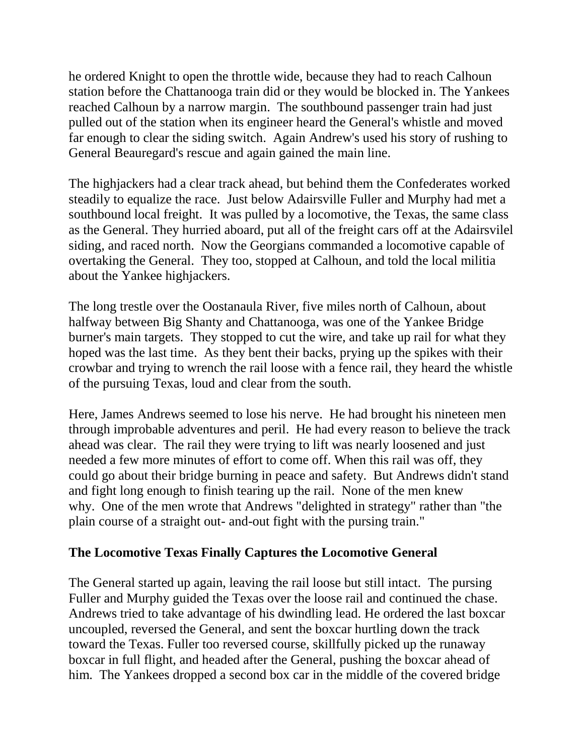he ordered Knight to open the throttle wide, because they had to reach Calhoun station before the Chattanooga train did or they would be blocked in. The Yankees reached Calhoun by a narrow margin. The southbound passenger train had just pulled out of the station when its engineer heard the General's whistle and moved far enough to clear the siding switch. Again Andrew's used his story of rushing to General Beauregard's rescue and again gained the main line.

The highjackers had a clear track ahead, but behind them the Confederates worked steadily to equalize the race. Just below Adairsville Fuller and Murphy had met a southbound local freight. It was pulled by a locomotive, the Texas, the same class as the General. They hurried aboard, put all of the freight cars off at the Adairsvilel siding, and raced north. Now the Georgians commanded a locomotive capable of overtaking the General. They too, stopped at Calhoun, and told the local militia about the Yankee highjackers.

The long trestle over the Oostanaula River, five miles north of Calhoun, about halfway between Big Shanty and Chattanooga, was one of the Yankee Bridge burner's main targets. They stopped to cut the wire, and take up rail for what they hoped was the last time. As they bent their backs, prying up the spikes with their crowbar and trying to wrench the rail loose with a fence rail, they heard the whistle of the pursuing Texas, loud and clear from the south.

Here, James Andrews seemed to lose his nerve. He had brought his nineteen men through improbable adventures and peril. He had every reason to believe the track ahead was clear. The rail they were trying to lift was nearly loosened and just needed a few more minutes of effort to come off. When this rail was off, they could go about their bridge burning in peace and safety. But Andrews didn't stand and fight long enough to finish tearing up the rail. None of the men knew why. One of the men wrote that Andrews "delighted in strategy" rather than "the plain course of a straight out- and-out fight with the pursing train."

#### **The Locomotive Texas Finally Captures the Locomotive General**

The General started up again, leaving the rail loose but still intact. The pursing Fuller and Murphy guided the Texas over the loose rail and continued the chase. Andrews tried to take advantage of his dwindling lead. He ordered the last boxcar uncoupled, reversed the General, and sent the boxcar hurtling down the track toward the Texas. Fuller too reversed course, skillfully picked up the runaway boxcar in full flight, and headed after the General, pushing the boxcar ahead of him. The Yankees dropped a second box car in the middle of the covered bridge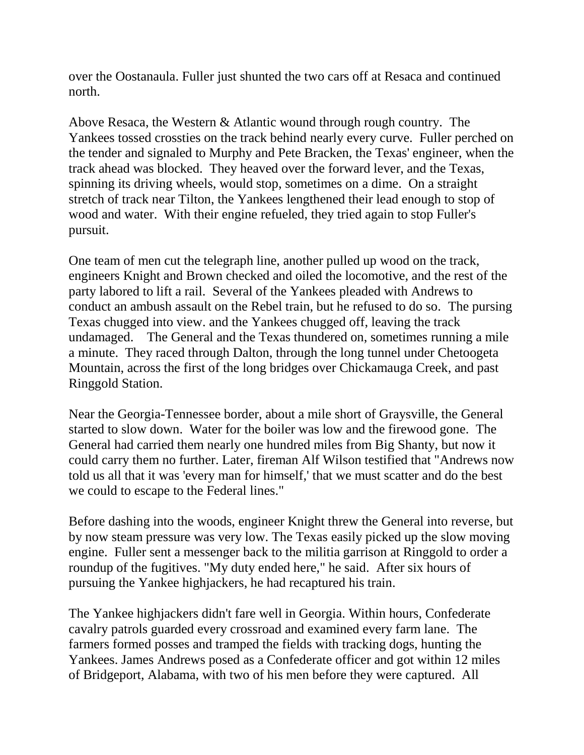over the Oostanaula. Fuller just shunted the two cars off at Resaca and continued north.

Above Resaca, the Western & Atlantic wound through rough country. The Yankees tossed crossties on the track behind nearly every curve. Fuller perched on the tender and signaled to Murphy and Pete Bracken, the Texas' engineer, when the track ahead was blocked. They heaved over the forward lever, and the Texas, spinning its driving wheels, would stop, sometimes on a dime. On a straight stretch of track near Tilton, the Yankees lengthened their lead enough to stop of wood and water. With their engine refueled, they tried again to stop Fuller's pursuit.

One team of men cut the telegraph line, another pulled up wood on the track, engineers Knight and Brown checked and oiled the locomotive, and the rest of the party labored to lift a rail. Several of the Yankees pleaded with Andrews to conduct an ambush assault on the Rebel train, but he refused to do so. The pursing Texas chugged into view. and the Yankees chugged off, leaving the track undamaged. The General and the Texas thundered on, sometimes running a mile a minute. They raced through Dalton, through the long tunnel under Chetoogeta Mountain, across the first of the long bridges over Chickamauga Creek, and past Ringgold Station.

Near the Georgia-Tennessee border, about a mile short of Graysville, the General started to slow down. Water for the boiler was low and the firewood gone. The General had carried them nearly one hundred miles from Big Shanty, but now it could carry them no further. Later, fireman Alf Wilson testified that "Andrews now told us all that it was 'every man for himself,' that we must scatter and do the best we could to escape to the Federal lines."

Before dashing into the woods, engineer Knight threw the General into reverse, but by now steam pressure was very low. The Texas easily picked up the slow moving engine. Fuller sent a messenger back to the militia garrison at Ringgold to order a roundup of the fugitives. "My duty ended here," he said. After six hours of pursuing the Yankee highjackers, he had recaptured his train.

The Yankee highjackers didn't fare well in Georgia. Within hours, Confederate cavalry patrols guarded every crossroad and examined every farm lane. The farmers formed posses and tramped the fields with tracking dogs, hunting the Yankees. James Andrews posed as a Confederate officer and got within 12 miles of Bridgeport, Alabama, with two of his men before they were captured. All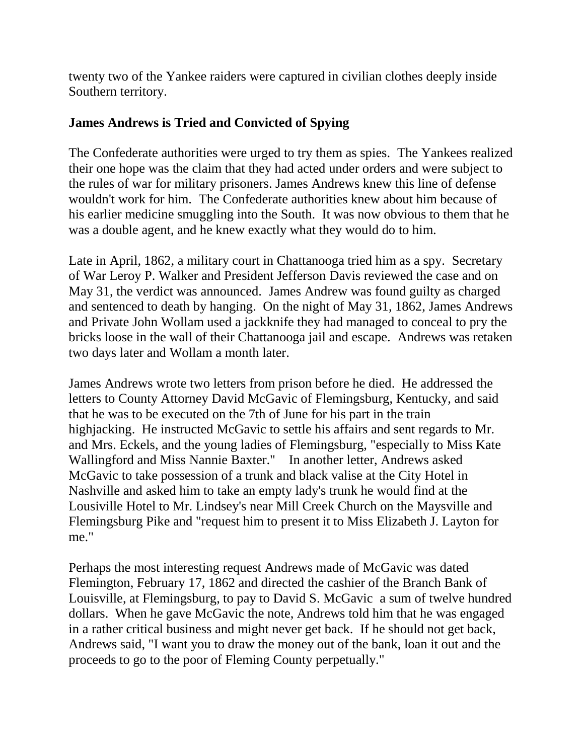twenty two of the Yankee raiders were captured in civilian clothes deeply inside Southern territory.

#### **James Andrews is Tried and Convicted of Spying**

The Confederate authorities were urged to try them as spies. The Yankees realized their one hope was the claim that they had acted under orders and were subject to the rules of war for military prisoners. James Andrews knew this line of defense wouldn't work for him. The Confederate authorities knew about him because of his earlier medicine smuggling into the South. It was now obvious to them that he was a double agent, and he knew exactly what they would do to him.

Late in April, 1862, a military court in Chattanooga tried him as a spy. Secretary of War Leroy P. Walker and President Jefferson Davis reviewed the case and on May 31, the verdict was announced. James Andrew was found guilty as charged and sentenced to death by hanging. On the night of May 31, 1862, James Andrews and Private John Wollam used a jackknife they had managed to conceal to pry the bricks loose in the wall of their Chattanooga jail and escape. Andrews was retaken two days later and Wollam a month later.

James Andrews wrote two letters from prison before he died. He addressed the letters to County Attorney David McGavic of Flemingsburg, Kentucky, and said that he was to be executed on the 7th of June for his part in the train highjacking. He instructed McGavic to settle his affairs and sent regards to Mr. and Mrs. Eckels, and the young ladies of Flemingsburg, "especially to Miss Kate Wallingford and Miss Nannie Baxter." In another letter, Andrews asked McGavic to take possession of a trunk and black valise at the City Hotel in Nashville and asked him to take an empty lady's trunk he would find at the Lousiville Hotel to Mr. Lindsey's near Mill Creek Church on the Maysville and Flemingsburg Pike and "request him to present it to Miss Elizabeth J. Layton for me."

Perhaps the most interesting request Andrews made of McGavic was dated Flemington, February 17, 1862 and directed the cashier of the Branch Bank of Louisville, at Flemingsburg, to pay to David S. McGavic a sum of twelve hundred dollars. When he gave McGavic the note, Andrews told him that he was engaged in a rather critical business and might never get back. If he should not get back, Andrews said, "I want you to draw the money out of the bank, loan it out and the proceeds to go to the poor of Fleming County perpetually."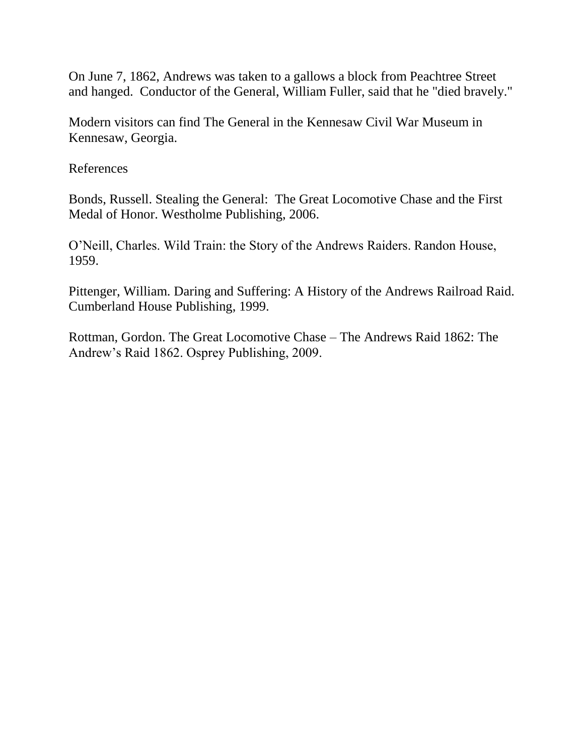On June 7, 1862, Andrews was taken to a gallows a block from Peachtree Street and hanged. Conductor of the General, William Fuller, said that he "died bravely."

Modern visitors can find The General in the [Kennesaw Civil War Museum](http://roadsidegeorgia.com/site/kcwm.html) in Kennesaw, Georgia.

References

Bonds, Russell. Stealing the General: The Great Locomotive Chase and the First Medal of Honor. Westholme Publishing, 2006.

O'Neill, Charles. Wild Train: the Story of the Andrews Raiders. Randon House, 1959.

Pittenger, William. Daring and Suffering: A History of the Andrews Railroad Raid. Cumberland House Publishing, 1999.

Rottman, Gordon. The Great Locomotive Chase – The Andrews Raid 1862: The Andrew's Raid 1862. Osprey Publishing, 2009.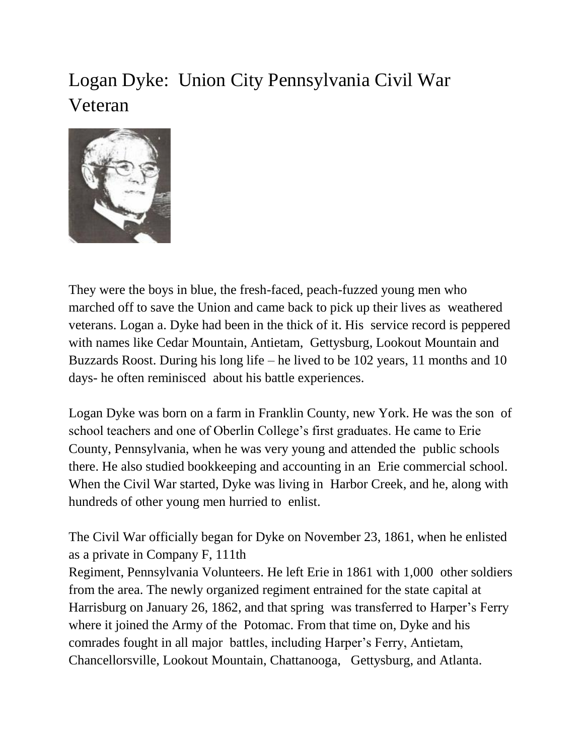# Logan Dyke: Union City Pennsylvania Civil War Veteran



They were the boys in blue, the fresh-faced, peach-fuzzed young men who marched off to save the Union and came back to pick up their lives as weathered veterans. Logan a. Dyke had been in the thick of it. His service record is peppered with names like Cedar Mountain, Antietam, Gettysburg, Lookout Mountain and Buzzards Roost. During his long life – he lived to be 102 years, 11 months and 10 days- he often reminisced about his battle experiences.

Logan Dyke was born on a farm in Franklin County, new York. He was the son of school teachers and one of Oberlin College's first graduates. He came to Erie County, Pennsylvania, when he was very young and attended the public schools there. He also studied bookkeeping and accounting in an Erie commercial school. When the Civil War started, Dyke was living in Harbor Creek, and he, along with hundreds of other young men hurried to enlist.

The Civil War officially began for Dyke on November 23, 1861, when he enlisted as a private in Company F, 111th

Regiment, Pennsylvania Volunteers. He left Erie in 1861 with 1,000 other soldiers from the area. The newly organized regiment entrained for the state capital at Harrisburg on January 26, 1862, and that spring was transferred to Harper's Ferry where it joined the Army of the Potomac. From that time on, Dyke and his comrades fought in all major battles, including Harper's Ferry, Antietam, Chancellorsville, Lookout Mountain, Chattanooga, Gettysburg, and Atlanta.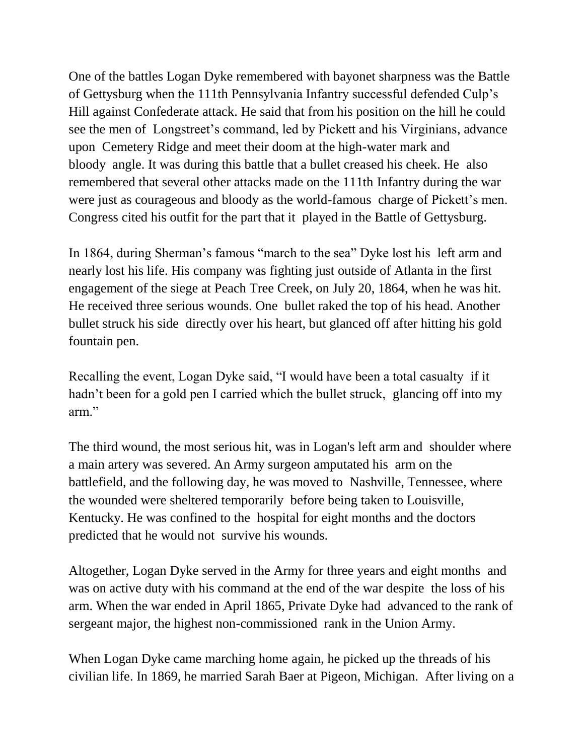One of the battles Logan Dyke remembered with bayonet sharpness was the Battle of Gettysburg when the 111th Pennsylvania Infantry successful defended Culp's Hill against Confederate attack. He said that from his position on the hill he could see the men of Longstreet's command, led by Pickett and his Virginians, advance upon Cemetery Ridge and meet their doom at the high-water mark and bloody angle. It was during this battle that a bullet creased his cheek. He also remembered that several other attacks made on the 111th Infantry during the war were just as courageous and bloody as the world-famous charge of Pickett's men. Congress cited his outfit for the part that it played in the Battle of Gettysburg.

In 1864, during Sherman's famous "march to the sea" Dyke lost his left arm and nearly lost his life. His company was fighting just outside of Atlanta in the first engagement of the siege at Peach Tree Creek, on July 20, 1864, when he was hit. He received three serious wounds. One bullet raked the top of his head. Another bullet struck his side directly over his heart, but glanced off after hitting his gold fountain pen.

Recalling the event, Logan Dyke said, "I would have been a total casualty if it hadn't been for a gold pen I carried which the bullet struck, glancing off into my arm."

The third wound, the most serious hit, was in Logan's left arm and shoulder where a main artery was severed. An Army surgeon amputated his arm on the battlefield, and the following day, he was moved to Nashville, Tennessee, where the wounded were sheltered temporarily before being taken to Louisville, Kentucky. He was confined to the hospital for eight months and the doctors predicted that he would not survive his wounds.

Altogether, Logan Dyke served in the Army for three years and eight months and was on active duty with his command at the end of the war despite the loss of his arm. When the war ended in April 1865, Private Dyke had advanced to the rank of sergeant major, the highest non-commissioned rank in the Union Army.

When Logan Dyke came marching home again, he picked up the threads of his civilian life. In 1869, he married Sarah Baer at Pigeon, Michigan. After living on a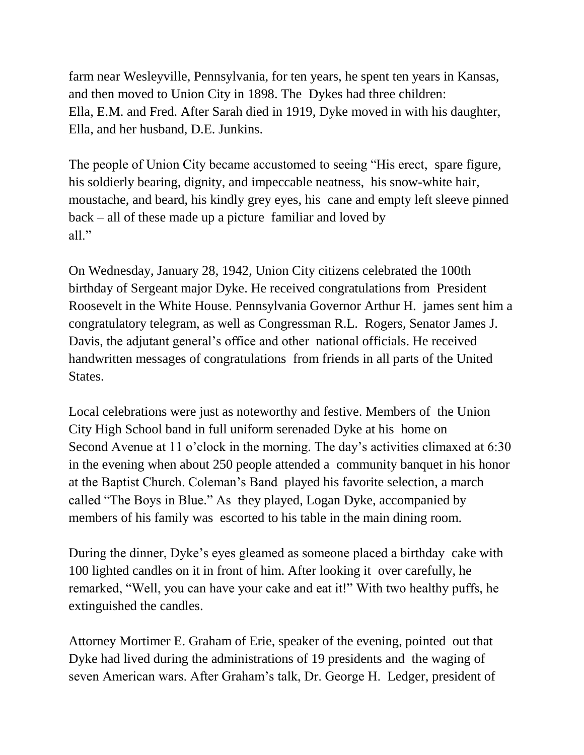farm near Wesleyville, Pennsylvania, for ten years, he spent ten years in Kansas, and then moved to Union City in 1898. The Dykes had three children: Ella, E.M. and Fred. After Sarah died in 1919, Dyke moved in with his daughter, Ella, and her husband, D.E. Junkins.

The people of Union City became accustomed to seeing "His erect, spare figure, his soldierly bearing, dignity, and impeccable neatness, his snow-white hair, moustache, and beard, his kindly grey eyes, his cane and empty left sleeve pinned back – all of these made up a picture familiar and loved by all."

On Wednesday, January 28, 1942, Union City citizens celebrated the 100th birthday of Sergeant major Dyke. He received congratulations from President Roosevelt in the White House. Pennsylvania Governor Arthur H. james sent him a congratulatory telegram, as well as Congressman R.L. Rogers, Senator James J. Davis, the adjutant general's office and other national officials. He received handwritten messages of congratulations from friends in all parts of the United States.

Local celebrations were just as noteworthy and festive. Members of the Union City High School band in full uniform serenaded Dyke at his home on Second Avenue at 11 o'clock in the morning. The day's activities climaxed at 6:30 in the evening when about 250 people attended a community banquet in his honor at the Baptist Church. Coleman's Band played his favorite selection, a march called "The Boys in Blue." As they played, Logan Dyke, accompanied by members of his family was escorted to his table in the main dining room.

During the dinner, Dyke's eyes gleamed as someone placed a birthday cake with 100 lighted candles on it in front of him. After looking it over carefully, he remarked, "Well, you can have your cake and eat it!" With two healthy puffs, he extinguished the candles.

Attorney Mortimer E. Graham of Erie, speaker of the evening, pointed out that Dyke had lived during the administrations of 19 presidents and the waging of seven American wars. After Graham's talk, Dr. George H. Ledger, president of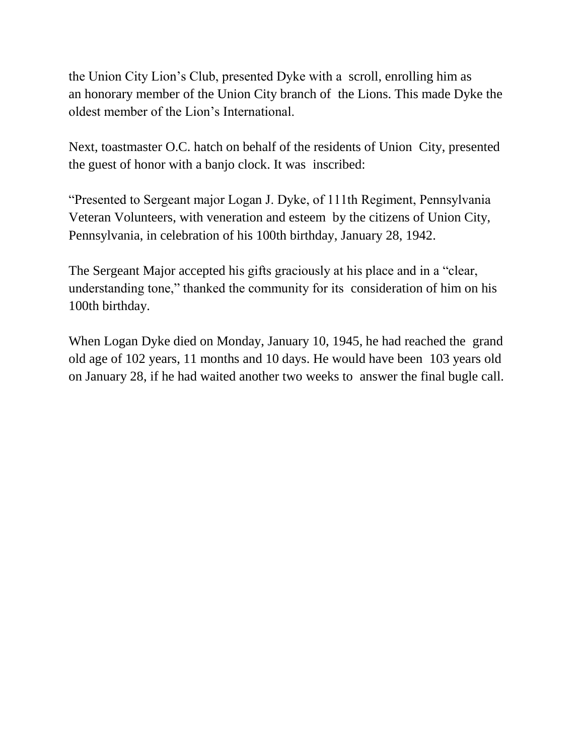the Union City Lion's Club, presented Dyke with a scroll, enrolling him as an honorary member of the Union City branch of the Lions. This made Dyke the oldest member of the Lion's International.

Next, toastmaster O.C. hatch on behalf of the residents of Union City, presented the guest of honor with a banjo clock. It was inscribed:

"Presented to Sergeant major Logan J. Dyke, of 111th Regiment, Pennsylvania Veteran Volunteers, with veneration and esteem by the citizens of Union City, Pennsylvania, in celebration of his 100th birthday, January 28, 1942.

The Sergeant Major accepted his gifts graciously at his place and in a "clear, understanding tone," thanked the community for its consideration of him on his 100th birthday.

When Logan Dyke died on Monday, January 10, 1945, he had reached the grand old age of 102 years, 11 months and 10 days. He would have been 103 years old on January 28, if he had waited another two weeks to answer the final bugle call.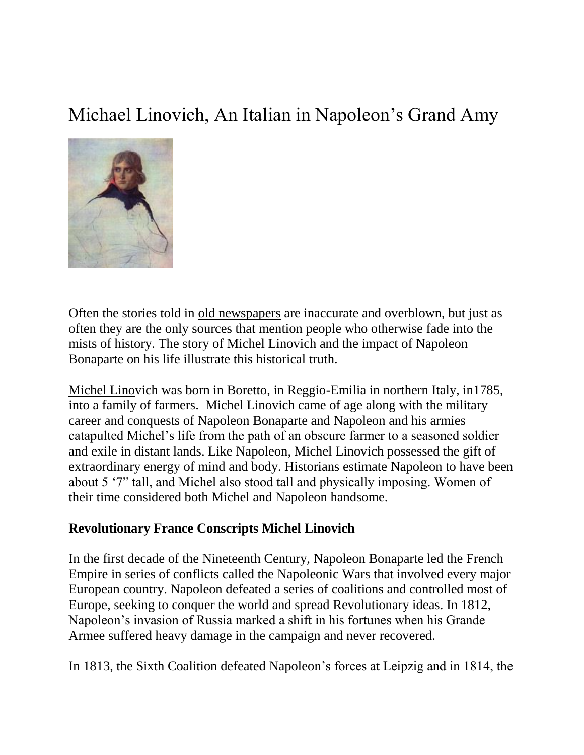# Michael Linovich, An Italian in Napoleon's Grand Amy



Often the stories told in [old newspapers](http://paperspast.natlib.govt.nz/cgi-bin/paperspast?a=d&d=TS18900819.2.48&l=mi&e=-------10--1----0--) are inaccurate and overblown, but just as often they are the only sources that mention people who otherwise fade into the mists of history. The story of Michel Linovich and the impact of Napoleon Bonaparte on his life illustrate this historical truth.

[Michel Linov](http://eagle.brooklynpubliclibrary.org/Default/Scripting/ArticleWin.asp?From=Search&Key=BEG/1890/07/26/5/Ar00511.xml&CollName=BEG_APA3_1890-1894&DOCID=80500&PageLabelPrint=&Skin=%42%45%61%67%6c%65&GZ=%54&sPublication=%42%45%47&sQuery=%69%74%61%6c%79&sSorti)ich was born in Boretto, in Reggio-Emilia in northern Italy, in1785, into a family of farmers. Michel Linovich came of age along with the military career and conquests of Napoleon Bonaparte and Napoleon and his armies catapulted Michel's life from the path of an obscure farmer to a seasoned soldier and exile in distant lands. Like Napoleon, Michel Linovich possessed the gift of extraordinary energy of mind and body. Historians estimate Napoleon to have been about 5 '7" tall, and Michel also stood tall and physically imposing. Women of their time considered both Michel and Napoleon handsome.

#### **Revolutionary France Conscripts Michel Linovich**

In the first decade of the Nineteenth Century, Napoleon Bonaparte led the French Empire in series of conflicts called the Napoleonic Wars that involved every major European country. Napoleon defeated a series of coalitions and controlled most of Europe, seeking to conquer the world and spread Revolutionary ideas. In 1812, Napoleon's invasion of Russia marked a shift in his fortunes when his Grande Armee suffered heavy damage in the campaign and never recovered.

In 1813, the Sixth Coalition defeated Napoleon's forces at Leipzig and in 1814, the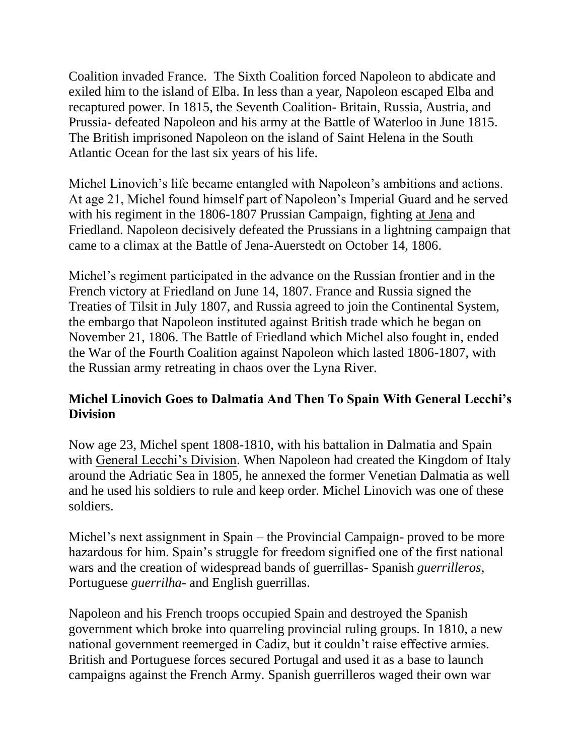Coalition invaded France. The Sixth Coalition forced Napoleon to abdicate and exiled him to the island of Elba. In less than a year, Napoleon escaped Elba and recaptured power. In 1815, the Seventh Coalition- Britain, Russia, Austria, and Prussia- defeated Napoleon and his army at the Battle of Waterloo in June 1815. The British imprisoned Napoleon on the island of Saint Helena in the South Atlantic Ocean for the last six years of his life.

Michel Linovich's life became entangled with Napoleon's ambitions and actions. At age 21, Michel found himself part of Napoleon's Imperial Guard and he served with his regiment in the 1806-1807 Prussian Campaign, fighting [at Jena](http://www.napoleon.org/en/magazine/itineraries/course/jena_auerstedt_parcours1.asp?id=464879) and Friedland. Napoleon decisively defeated the Prussians in a lightning campaign that came to a climax at the Battle of Jena-Auerstedt on October 14, 1806.

Michel's regiment participated in the advance on the Russian frontier and in the French victory at Friedland on June 14, 1807. France and Russia signed the Treaties of Tilsit in July 1807, and Russia agreed to join the Continental System, the embargo that Napoleon instituted against British trade which he began on November 21, 1806. The Battle of Friedland which Michel also fought in, ended the War of the Fourth Coalition against Napoleon which lasted 1806-1807, with the Russian army retreating in chaos over the Lyna River.

### **Michel Linovich Goes to Dalmatia And Then To Spain With General Lecchi's Division**

Now age 23, Michel spent 1808-1810, with his battalion in Dalmatia and Spain with [General Lecchi's Division.](http://www.blogger.com/iments) When Napoleon had created the Kingdom of Italy around the Adriatic Sea in 1805, he annexed the former Venetian Dalmatia as well and he used his soldiers to rule and keep order. Michel Linovich was one of these soldiers.

Michel's next assignment in Spain – the Provincial Campaign- proved to be more hazardous for him. Spain's struggle for freedom signified one of the first national wars and the creation of widespread bands of guerrillas- Spanish *guerrilleros*, Portuguese *guerrilha*- and English guerrillas.

Napoleon and his French troops occupied Spain and destroyed the Spanish government which broke into quarreling provincial ruling groups. In 1810, a new national government reemerged in Cadiz, but it couldn't raise effective armies. British and Portuguese forces secured Portugal and used it as a base to launch campaigns against the French Army. Spanish guerrilleros waged their own war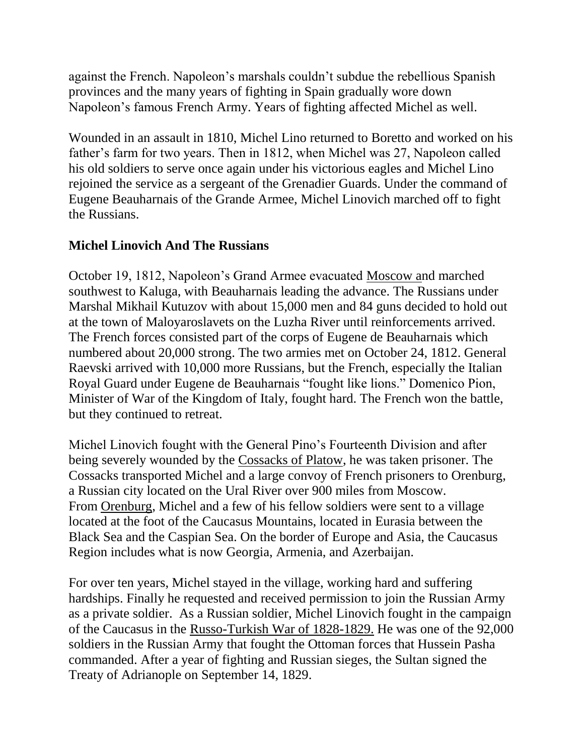against the French. Napoleon's marshals couldn't subdue the rebellious Spanish provinces and the many years of fighting in Spain gradually wore down Napoleon's famous French Army. Years of fighting affected Michel as well.

Wounded in an assault in 1810, Michel Lino returned to Boretto and worked on his father's farm for two years. Then in 1812, when Michel was 27, Napoleon called his old soldiers to serve once again under his victorious eagles and Michel Lino rejoined the service as a sergeant of the Grenadier Guards. Under the command of Eugene Beauharnais of the Grande Armee, Michel Linovich marched off to fight the Russians.

### **Michel Linovich And The Russians**

October 19, 1812, Napoleon's Grand Armee evacuated [Moscow an](http://www.napolun.com/mirror/web2.airmail.net/napoleon/Borodino_battle.htm)d marched southwest to Kaluga, with Beauharnais leading the advance. The Russians under Marshal Mikhail Kutuzov with about 15,000 men and 84 guns decided to hold out at the town of Maloyaroslavets on the Luzha River until reinforcements arrived. The French forces consisted part of the corps of Eugene de Beauharnais which numbered about 20,000 strong. The two armies met on October 24, 1812. General Raevski arrived with 10,000 more Russians, but the French, especially the Italian Royal Guard under Eugene de Beauharnais "fought like lions." Domenico Pion, Minister of War of the Kingdom of Italy, fought hard. The French won the battle, but they continued to retreat.

Michel Linovich fought with the General Pino's Fourteenth Division and after being severely wounded by the [Cossacks of Platow,](http://books.google.com/books?id=YQUKAAAAIAAJ&pg=PA280&lpg=PA280&dq=cossacks+of+platow&source=bl&ots=kjD-juGBwx&sig=6DfaP5s5Zkeoe4C6Ed0iZK0Iebg&hl=en&ei=BsKMTZH_C862tgfioOGnDQ&sa=X&oi=book_result&ct=result&resnum=2&ved=0CBcQ6AEwAQ#v=onepage&q=cossacks%20of) he was taken prisoner. The Cossacks transported Michel and a large convoy of French prisoners to Orenburg, a Russian city located on the Ural River over 900 miles from Moscow. From [Orenburg,](http://eagle.brooklynpubliclibrary.org/Default/Scripting/ArticleWin.asp?From=Search&Key=BEG/1883/09/16/4/Ar00412.xml&CollName=BEG_APA3_1880-1884&DOCID=274030&PageLabelPrint=&Skin=%42%45%61%67%6c%65&GZ=%54&sPublication=%42%45%47&sQuery=%6f%72%65%6e%62%75%72) Michel and a few of his fellow soldiers were sent to a village located at the foot of the Caucasus Mountains, located in Eurasia between the Black Sea and the Caspian Sea. On the border of Europe and Asia, the Caucasus Region includes what is now Georgia, Armenia, and Azerbaijan.

For over ten years, Michel stayed in the village, working hard and suffering hardships. Finally he requested and received permission to join the Russian Army as a private soldier. As a Russian soldier, Michel Linovich fought in the campaign of the Caucasus in the [Russo-Turkish War of 1828-1829.](http://ottomanmilitary.devhub.com/blog/539301-the-ottoman-russian-war-of-18281829-ii/) He was one of the 92,000 soldiers in the Russian Army that fought the Ottoman forces that Hussein Pasha commanded. After a year of fighting and Russian sieges, the Sultan signed the Treaty of Adrianople on September 14, 1829.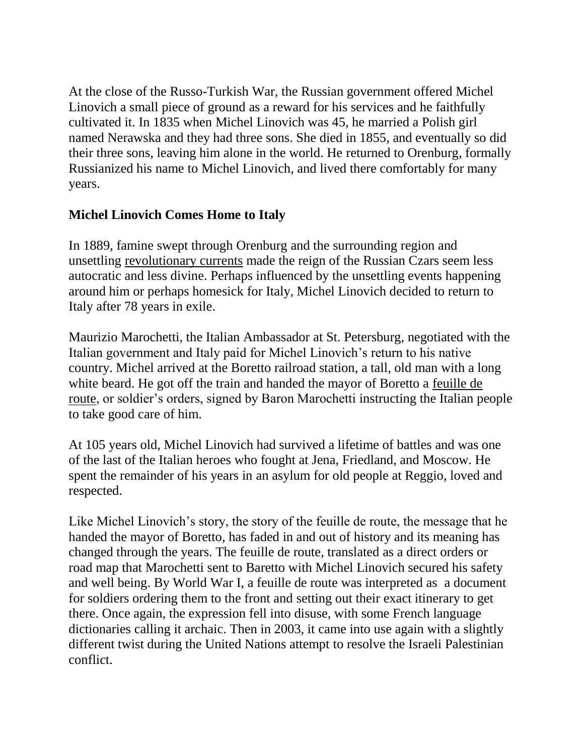At the close of the Russo-Turkish War, the Russian government offered Michel Linovich a small piece of ground as a reward for his services and he faithfully cultivated it. In 1835 when Michel Linovich was 45, he married a Polish girl named Nerawska and they had three sons. She died in 1855, and eventually so did their three sons, leaving him alone in the world. He returned to Orenburg, formally Russianized his name to Michel Linovich, and lived there comfortably for many years.

#### **Michel Linovich Comes Home to Italy**

In 1889, famine swept through Orenburg and the surrounding region and unsettling [revolutionary currents](http://eagle.brooklynpubliclibrary.org/Default/Scripting/ArticleWin.asp?From=Search&Key=BEG/1883/09/16/4/Ar00412.xml&CollName=BEG_APA3_1880-1884&DOCID=274030&PageLabelPrint=&Skin=%42%45%61%67%6c%65&GZ=%54&sPublication=%42%45%47&sQuery=%6f%72%65%6e%62%75%72) made the reign of the Russian Czars seem less autocratic and less divine. Perhaps influenced by the unsettling events happening around him or perhaps homesick for Italy, Michel Linovich decided to return to Italy after 78 years in exile.

Maurizio Marochetti, the Italian Ambassador at St. Petersburg, negotiated with the Italian government and Italy paid for Michel Linovich's return to his native country. Michel arrived at the Boretto railroad station, a tall, old man with a long white beard. He got off the train and handed the mayor of Boretto a [feuille de](http://blog.veronis.fr/2006/06/translation-feuille-de-route.html)  [route,](http://blog.veronis.fr/2006/06/translation-feuille-de-route.html) or soldier's orders, signed by Baron Marochetti instructing the Italian people to take good care of him.

At 105 years old, Michel Linovich had survived a lifetime of battles and was one of the last of the Italian heroes who fought at Jena, Friedland, and Moscow. He spent the remainder of his years in an asylum for old people at Reggio, loved and respected.

Like Michel Linovich's story, the story of the feuille de route, the message that he handed the mayor of Boretto, has faded in and out of history and its meaning has changed through the years. The feuille de route, translated as a direct orders or road map that Marochetti sent to Baretto with Michel Linovich secured his safety and well being. By World War I, a feuille de route was interpreted as a document for soldiers ordering them to the front and setting out their exact itinerary to get there. Once again, the expression fell into disuse, with some French language dictionaries calling it archaic. Then in 2003, it came into use again with a slightly different twist during the United Nations attempt to resolve the Israeli Palestinian conflict.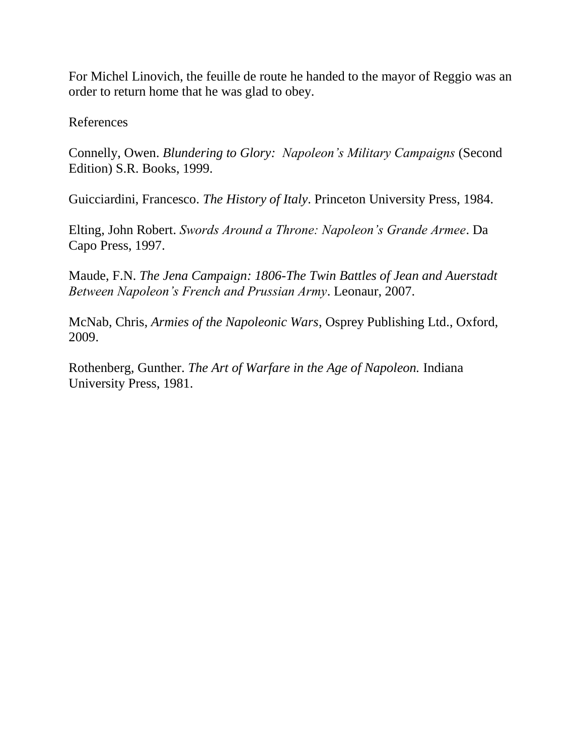For Michel Linovich, the feuille de route he handed to the mayor of Reggio was an order to return home that he was glad to obey.

References

Connelly, Owen. *Blundering to Glory: Napoleon's Military Campaigns* (Second Edition) S.R. Books, 1999.

Guicciardini, Francesco. *The History of Italy*. Princeton University Press, 1984.

Elting, John Robert. *Swords Around a Throne: Napoleon's Grande Armee*. Da Capo Press, 1997.

Maude, F.N. *The Jena Campaign: 1806-The Twin Battles of Jean and Auerstadt Between Napoleon's French and Prussian Army*. Leonaur, 2007.

McNab, Chris, *Armies of the Napoleonic Wars*, Osprey Publishing Ltd., Oxford, 2009.

Rothenberg, Gunther. *The Art of Warfare in the Age of Napoleon.* Indiana University Press, 1981.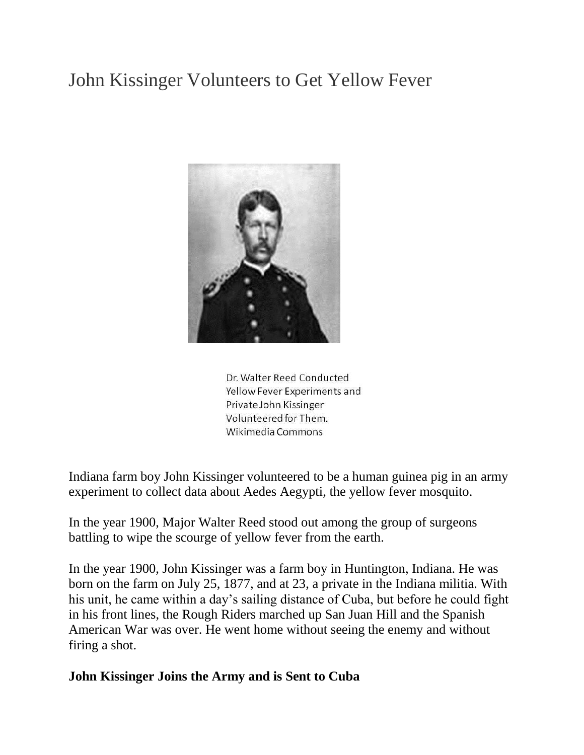# John Kissinger Volunteers to Get Yellow Fever



Dr. Walter Reed Conducted Yellow Fever Experiments and Private John Kissinger Volunteered for Them. Wikimedia Commons

Indiana farm boy John Kissinger volunteered to be a human guinea pig in an army experiment to collect data about Aedes Aegypti, the yellow fever mosquito.

In the year 1900, Major Walter Reed stood out among the group of surgeons battling to wipe the scourge of yellow fever from the earth.

In the year 1900, John Kissinger was a farm boy in Huntington, Indiana. He was born on the farm on July 25, 1877, and at 23, a private in the Indiana militia. With his unit, he came within a day's sailing distance of Cuba, but before he could fight in his front lines, the Rough Riders marched up San Juan Hill and the Spanish American War was over. He went home without seeing the enemy and without firing a shot.

#### **John Kissinger Joins the Army and is Sent to Cuba**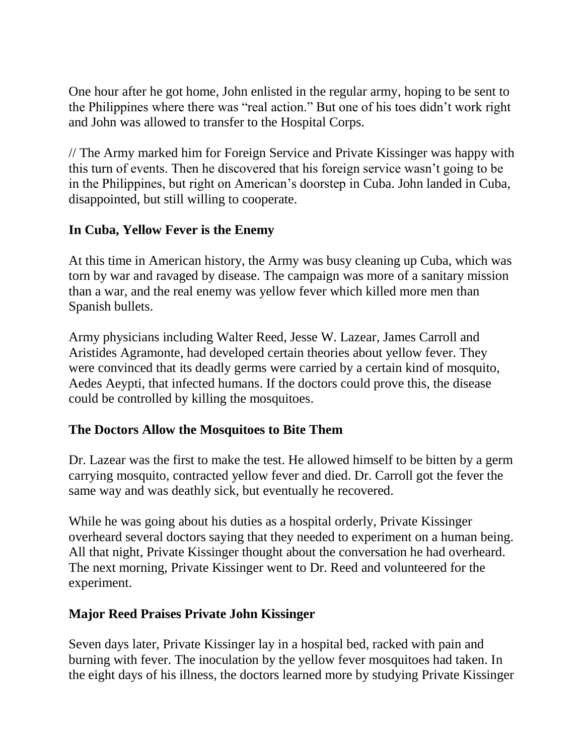One hour after he got home, John enlisted in the regular army, hoping to be sent to the Philippines where there was "real action." But one of his toes didn't work right and John was allowed to transfer to the Hospital Corps.

// The Army marked him for Foreign Service and Private Kissinger was happy with this turn of events. Then he discovered that his foreign service wasn't going to be in the Philippines, but right on American's doorstep in Cuba. John landed in Cuba, disappointed, but still willing to cooperate.

#### **In Cuba, Yellow Fever is the Enemy**

At this time in American history, the Army was busy cleaning up Cuba, which was torn by war and ravaged by disease. The campaign was more of a sanitary mission than a war, and the real enemy was yellow fever which killed more men than Spanish bullets.

Army physicians including Walter Reed, Jesse W. Lazear, James Carroll and Aristides Agramonte, had developed certain theories about yellow fever. They were convinced that its deadly germs were carried by a certain kind of mosquito, Aedes Aeypti, that infected humans. If the doctors could prove this, the disease could be controlled by killing the mosquitoes.

#### **The Doctors Allow the Mosquitoes to Bite Them**

Dr. Lazear was the first to make the test. He allowed himself to be bitten by a germ carrying mosquito, contracted yellow fever and died. Dr. Carroll got the fever the same way and was deathly sick, but eventually he recovered.

While he was going about his duties as a hospital orderly, Private Kissinger overheard several doctors saying that they needed to experiment on a human being. All that night, Private Kissinger thought about the conversation he had overheard. The next morning, Private Kissinger went to Dr. Reed and volunteered for the experiment.

#### **Major Reed Praises Private John Kissinger**

Seven days later, Private Kissinger lay in a hospital bed, racked with pain and burning with fever. The inoculation by the yellow fever mosquitoes had taken. In the eight days of his illness, the doctors learned more by studying Private Kissinger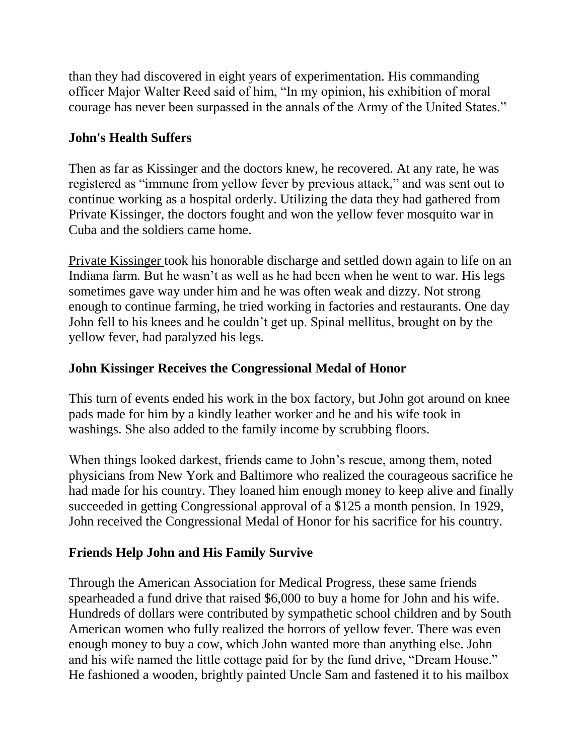than they had discovered in eight years of experimentation. His commanding officer Major Walter Reed said of him, "In my opinion, his exhibition of moral courage has never been surpassed in the annals of the Army of the United States."

# **John's Health Suffers**

Then as far as Kissinger and the doctors knew, he recovered. At any rate, he was registered as "immune from yellow fever by previous attack," and was sent out to continue working as a hospital orderly. Utilizing the data they had gathered from Private Kissinger, the doctors fought and won the yellow fever mosquito war in Cuba and the soldiers came home.

[Private Kissinger](http://news.google.com/newspapers?nid=950&dat=19440720&id=X-wLAAAAIBAJ&sjid=HVUDAAAAIBAJ&pg=2919,4084571) took his honorable discharge and settled down again to life on an Indiana farm. But he wasn't as well as he had been when he went to war. His legs sometimes gave way under him and he was often weak and dizzy. Not strong enough to continue farming, he tried working in factories and restaurants. One day John fell to his knees and he couldn't get up. Spinal mellitus, brought on by the yellow fever, had paralyzed his legs.

### **John Kissinger Receives the Congressional Medal of Honor**

This turn of events ended his work in the box factory, but John got around on knee pads made for him by a kindly leather worker and he and his wife took in washings. She also added to the family income by scrubbing floors.

When things looked darkest, friends came to John's rescue, among them, noted physicians from New York and Baltimore who realized the courageous sacrifice he had made for his country. They loaned him enough money to keep alive and finally succeeded in getting Congressional approval of a \$125 a month pension. In 1929, John received the Congressional Medal of Honor for his sacrifice for his country.

# **Friends Help John and His Family Survive**

Through the American Association for Medical Progress, these same friends spearheaded a fund drive that raised \$6,000 to buy a home for John and his wife. Hundreds of dollars were contributed by sympathetic school children and by South American women who fully realized the horrors of yellow fever. There was even enough money to buy a cow, which John wanted more than anything else. John and his wife named the little cottage paid for by the fund drive, "Dream House." He fashioned a wooden, brightly painted Uncle Sam and fastened it to his mailbox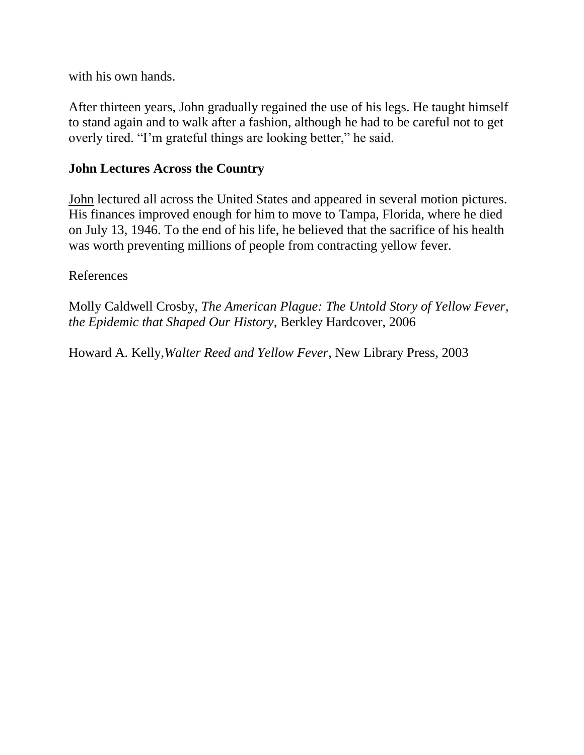with his own hands.

After thirteen years, John gradually regained the use of his legs. He taught himself to stand again and to walk after a fashion, although he had to be careful not to get overly tired. "I'm grateful things are looking better," he said.

#### **John Lectures Across the Country**

[John](http://news.google.com/newspapers?nid=888&dat=19460716&id=WhIwAAAAIBAJ&sjid=204DAAAAIBAJ&pg=7237,1536725) lectured all across the United States and appeared in several motion pictures. His finances improved enough for him to move to Tampa, Florida, where he died on July 13, 1946. To the end of his life, he believed that the sacrifice of his health was worth preventing millions of people from contracting yellow fever.

References

Molly Caldwell Crosby, *The American Plague: The Untold Story of Yellow Fever, the Epidemic that Shaped Our History*, Berkley Hardcover, 2006

Howard A. Kelly,*Walter Reed and Yellow Fever*, New Library Press, 2003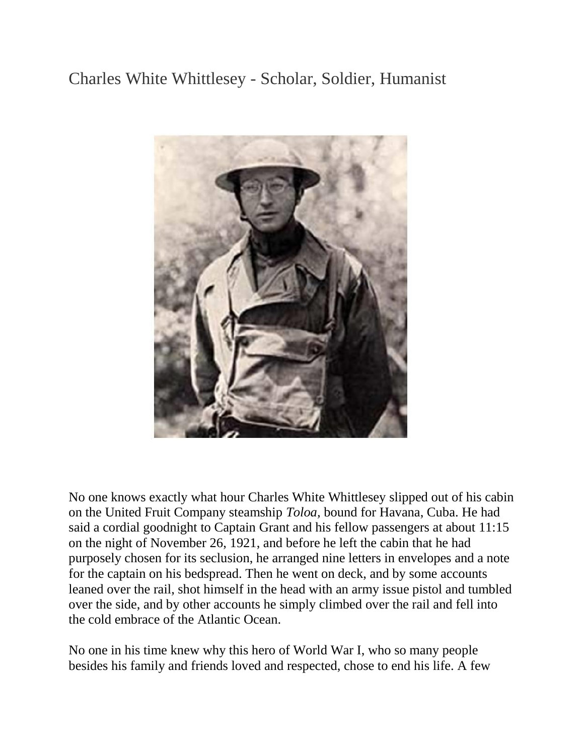# Charles White Whittlesey - Scholar, Soldier, Humanist



No one knows exactly what hour Charles White Whittlesey slipped out of his cabin on the United Fruit Company steamship *Toloa,* bound for Havana, Cuba. He had said a cordial goodnight to Captain Grant and his fellow passengers at about 11:15 on the night of November 26, 1921, and before he left the cabin that he had purposely chosen for its seclusion, he arranged nine letters in envelopes and a note for the captain on his bedspread. Then he went on deck, and by some accounts leaned over the rail, shot himself in the head with an army issue pistol and tumbled over the side, and by other accounts he simply climbed over the rail and fell into the cold embrace of the Atlantic Ocean.

No one in his time knew why this hero of World War I, who so many people besides his family and friends loved and respected, chose to end his life. A few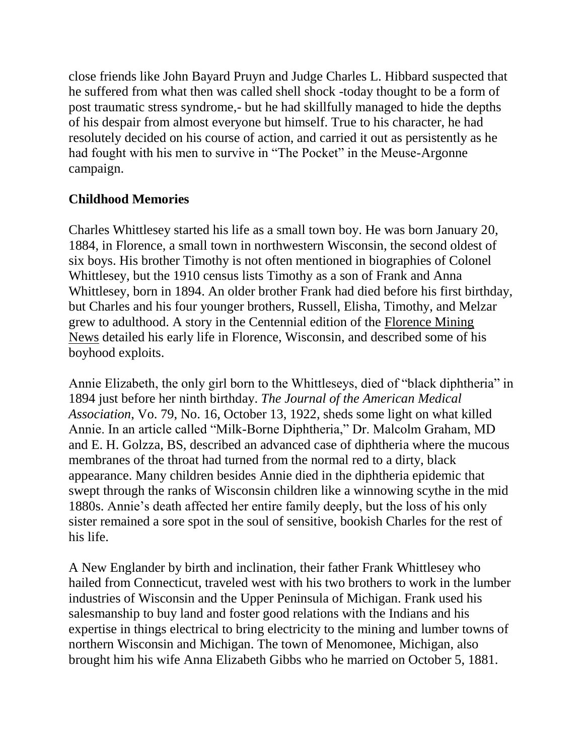close friends like John Bayard Pruyn and Judge Charles L. Hibbard suspected that he suffered from what then was called shell shock -today thought to be a form of post traumatic stress syndrome,- but he had skillfully managed to hide the depths of his despair from almost everyone but himself. True to his character, he had resolutely decided on his course of action, and carried it out as persistently as he had fought with his men to survive in "The Pocket" in the Meuse-Argonne campaign.

#### **Childhood Memories**

Charles Whittlesey started his life as a small town boy. He was born January 20, 1884, in Florence, a small town in northwestern Wisconsin, the second oldest of six boys. His brother Timothy is not often mentioned in biographies of Colonel Whittlesey, but the 1910 census lists Timothy as a son of Frank and Anna Whittlesey, born in 1894. An older brother Frank had died before his first birthday, but Charles and his four younger brothers, Russell, Elisha, Timothy, and Melzar grew to adulthood. A story in the Centennial edition of the [Florence Mining](http://www.rootsweb.ancestry.com/~wifloren/whittlesey.html)  [News](http://www.rootsweb.ancestry.com/~wifloren/whittlesey.html) detailed his early life in Florence, Wisconsin, and described some of his boyhood exploits.

Annie Elizabeth, the only girl born to the Whittleseys, died of "black diphtheria" in 1894 just before her ninth birthday. *The Journal of the American Medical Association*, Vo. 79, No. 16, October 13, 1922, sheds some light on what killed Annie. In an article called "Milk-Borne Diphtheria," Dr. Malcolm Graham, MD and E. H. Golzza, BS, described an advanced case of diphtheria where the mucous membranes of the throat had turned from the normal red to a dirty, black appearance. Many children besides Annie died in the diphtheria epidemic that swept through the ranks of Wisconsin children like a winnowing scythe in the mid 1880s. Annie's death affected her entire family deeply, but the loss of his only sister remained a sore spot in the soul of sensitive, bookish Charles for the rest of his life.

A New Englander by birth and inclination, their father Frank Whittlesey who hailed from Connecticut, traveled west with his two brothers to work in the lumber industries of Wisconsin and the Upper Peninsula of Michigan. Frank used his salesmanship to buy land and foster good relations with the Indians and his expertise in things electrical to bring electricity to the mining and lumber towns of northern Wisconsin and Michigan. The town of Menomonee, Michigan, also brought him his wife Anna Elizabeth Gibbs who he married on October 5, 1881.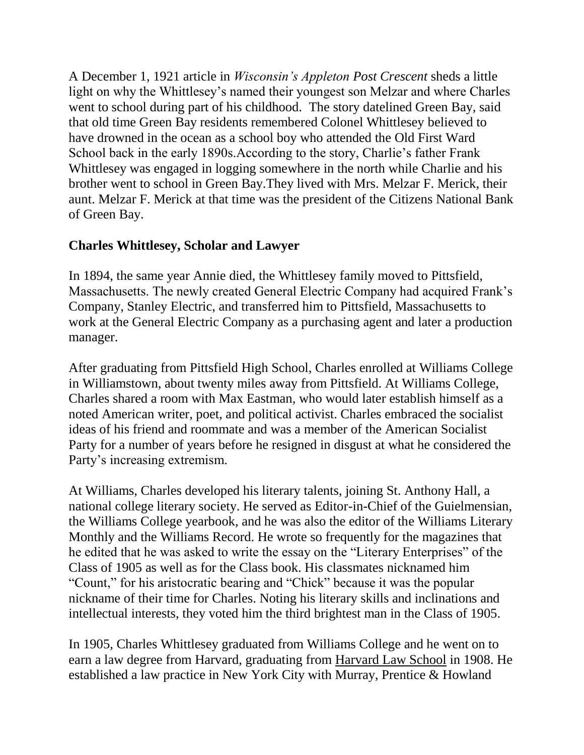A December 1, 1921 article in *Wisconsin's Appleton Post Crescent* sheds a little light on why the Whittlesey's named their youngest son Melzar and where Charles went to school during part of his childhood. The story datelined Green Bay, said that old time Green Bay residents remembered Colonel Whittlesey believed to have drowned in the ocean as a school boy who attended the Old First Ward School back in the early 1890s.According to the story, Charlie's father Frank Whittlesey was engaged in logging somewhere in the north while Charlie and his brother went to school in Green Bay.They lived with Mrs. Melzar F. Merick, their aunt. Melzar F. Merick at that time was the president of the Citizens National Bank of Green Bay.

#### **Charles Whittlesey, Scholar and Lawyer**

In 1894, the same year Annie died, the Whittlesey family moved to Pittsfield, Massachusetts. The newly created General Electric Company had acquired Frank's Company, Stanley Electric, and transferred him to Pittsfield, Massachusetts to work at the General Electric Company as a purchasing agent and later a production manager.

After graduating from Pittsfield High School, Charles enrolled at Williams College in Williamstown, about twenty miles away from Pittsfield. At Williams College, Charles shared a room with Max Eastman, who would later establish himself as a noted American writer, poet, and political activist. Charles embraced the socialist ideas of his friend and roommate and was a member of the American Socialist Party for a number of years before he resigned in disgust at what he considered the Party's increasing extremism.

At Williams, Charles developed his literary talents, joining St. Anthony Hall, a national college literary society. He served as Editor-in-Chief of the Guielmensian, the Williams College yearbook, and he was also the editor of the Williams Literary Monthly and the Williams Record. He wrote so frequently for the magazines that he edited that he was asked to write the essay on the "Literary Enterprises" of the Class of 1905 as well as for the Class book. His classmates nicknamed him "Count," for his aristocratic bearing and "Chick" because it was the popular nickname of their time for Charles. Noting his literary skills and inclinations and intellectual interests, they voted him the third brightest man in the Class of 1905.

In 1905, Charles Whittlesey graduated from Williams College and he went on to earn a law degree from Harvard, graduating from [Harvard Law School](http://books.google.com/books?id=Ia4VAAAAIAAJ&pg=PA872&dq=2+rector+street+1911+charles+whittlesey&hl=en&sa=X&ei=-p7wUNjlCcuZqQHkkIG4DA&ved=0CDkQ6AEwAg#v=onepage&q=2%20rector%20street%201911%20charles%20whittlesey&f=false) in 1908. He established a law practice in New York City with Murray, Prentice & Howland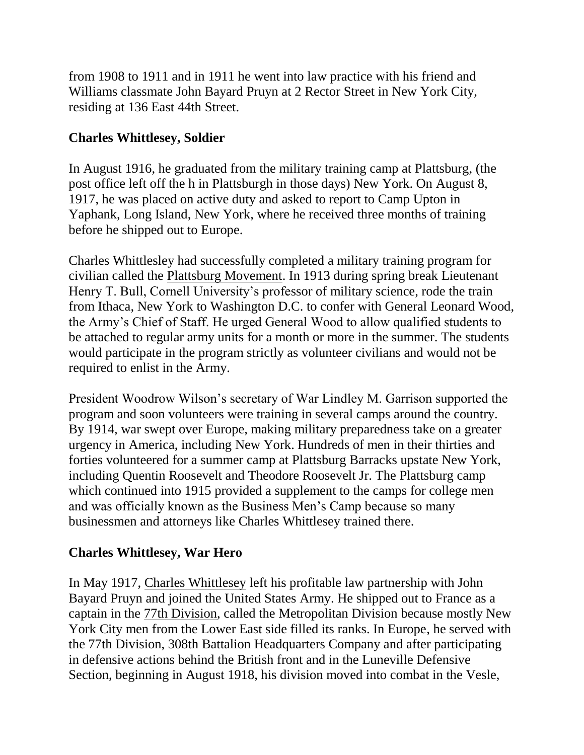from 1908 to 1911 and in 1911 he went into law practice with his friend and Williams classmate John Bayard Pruyn at 2 Rector Street in New York City, residing at 136 East 44th Street.

## **Charles Whittlesey, Soldier**

In August 1916, he graduated from the military training camp at Plattsburg, (the post office left off the h in Plattsburgh in those days) New York. On August 8, 1917, he was placed on active duty and asked to report to Camp Upton in Yaphank, Long Island, New York, where he received three months of training before he shipped out to Europe.

Charles Whittlesley had successfully completed a military training program for civilian called the [Plattsburg Movement.](http://www.worldwar1.com/tgws/rel011.htm) In 1913 during spring break Lieutenant Henry T. Bull, Cornell University's professor of military science, rode the train from Ithaca, New York to Washington D.C. to confer with General Leonard Wood, the Army's Chief of Staff. He urged General Wood to allow qualified students to be attached to regular army units for a month or more in the summer. The students would participate in the program strictly as volunteer civilians and would not be required to enlist in the Army.

President Woodrow Wilson's secretary of War Lindley M. Garrison supported the program and soon volunteers were training in several camps around the country. By 1914, war swept over Europe, making military preparedness take on a greater urgency in America, including New York. Hundreds of men in their thirties and forties volunteered for a summer camp at Plattsburg Barracks upstate New York, including Quentin Roosevelt and Theodore Roosevelt Jr. The Plattsburg camp which continued into 1915 provided a supplement to the camps for college men and was officially known as the Business Men's Camp because so many businessmen and attorneys like Charles Whittlesey trained there.

#### **Charles Whittlesey, War Hero**

In May 1917, [Charles Whittlesey](http://www.worldwar1.com/dbc/whitt.htm) left his profitable law partnership with John Bayard Pruyn and joined the United States Army. He shipped out to France as a captain in the 77th [Division,](http://www.longwood.k12.ny.us/history/upton/seventy.htm) called the Metropolitan Division because mostly New York City men from the Lower East side filled its ranks. In Europe, he served with the 77th Division, 308th Battalion Headquarters Company and after participating in defensive actions behind the British front and in the Luneville Defensive Section, beginning in August 1918, his division moved into combat in the Vesle,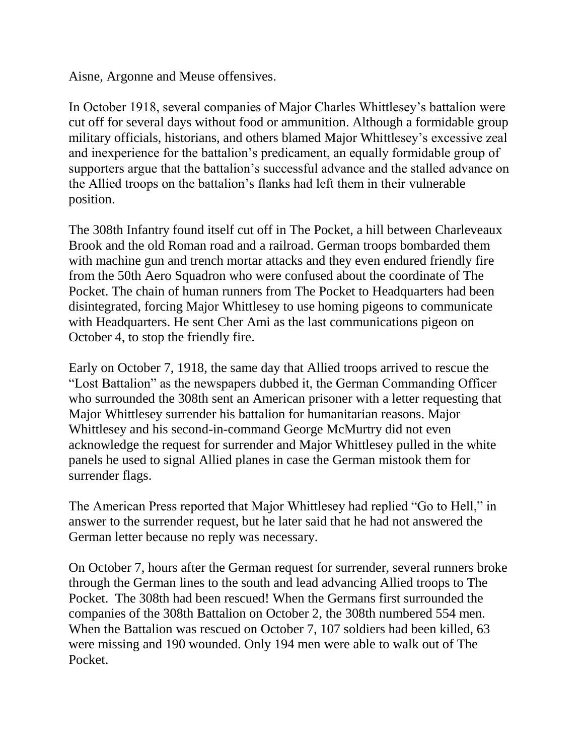Aisne, Argonne and Meuse offensives.

In October 1918, several companies of Major Charles Whittlesey's battalion were cut off for several days without food or ammunition. Although a formidable group military officials, historians, and others blamed Major Whittlesey's excessive zeal and inexperience for the battalion's predicament, an equally formidable group of supporters argue that the battalion's successful advance and the stalled advance on the Allied troops on the battalion's flanks had left them in their vulnerable position.

The 308th Infantry found itself cut off in The Pocket, a hill between Charleveaux Brook and the old Roman road and a railroad. German troops bombarded them with machine gun and trench mortar attacks and they even endured friendly fire from the 50th Aero Squadron who were confused about the coordinate of The Pocket. The chain of human runners from The Pocket to Headquarters had been disintegrated, forcing Major Whittlesey to use homing pigeons to communicate with Headquarters. He sent Cher Ami as the last communications pigeon on October 4, to stop the friendly fire.

Early on October 7, 1918, the same day that Allied troops arrived to rescue the "Lost Battalion" as the newspapers dubbed it, the German Commanding Officer who surrounded the 308th sent an American prisoner with a letter requesting that Major Whittlesey surrender his battalion for humanitarian reasons. Major Whittlesey and his second-in-command George McMurtry did not even acknowledge the request for surrender and Major Whittlesey pulled in the white panels he used to signal Allied planes in case the German mistook them for surrender flags.

The American Press reported that Major Whittlesey had replied "Go to Hell," in answer to the surrender request, but he later said that he had not answered the German letter because no reply was necessary.

On October 7, hours after the German request for surrender, several runners broke through the German lines to the south and lead advancing Allied troops to The Pocket. The 308th had been rescued! When the Germans first surrounded the companies of the 308th Battalion on October 2, the 308th numbered 554 men. When the Battalion was rescued on October 7, 107 soldiers had been killed, 63 were missing and 190 wounded. Only 194 men were able to walk out of The Pocket.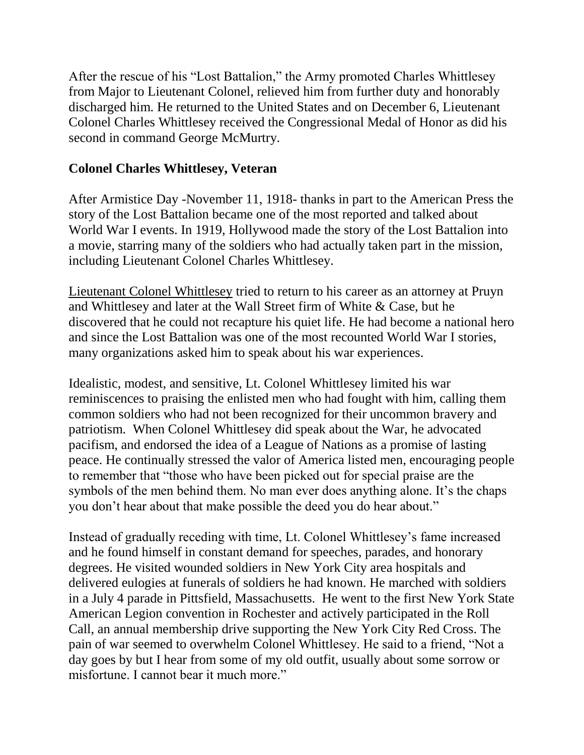After the rescue of his "Lost Battalion," the Army promoted Charles Whittlesey from Major to Lieutenant Colonel, relieved him from further duty and honorably discharged him. He returned to the United States and on December 6, Lieutenant Colonel Charles Whittlesey received the Congressional Medal of Honor as did his second in command George McMurtry.

#### **Colonel Charles Whittlesey, Veteran**

After Armistice Day -November 11, 1918- thanks in part to the American Press the story of the Lost Battalion became one of the most reported and talked about World War I events. In 1919, Hollywood made the story of the Lost Battalion into a movie, starring many of the soldiers who had actually taken part in the mission, including Lieutenant Colonel Charles Whittlesey.

[Lieutenant Colonel Whittlesey](http://www.worldwar1.com/dbc/whitt.htm) tried to return to his career as an attorney at Pruyn and Whittlesey and later at the Wall Street firm of White & Case, but he discovered that he could not recapture his quiet life. He had become a national hero and since the Lost Battalion was one of the most recounted World War I stories, many organizations asked him to speak about his war experiences.

Idealistic, modest, and sensitive, Lt. Colonel Whittlesey limited his war reminiscences to praising the enlisted men who had fought with him, calling them common soldiers who had not been recognized for their uncommon bravery and patriotism. When Colonel Whittlesey did speak about the War, he advocated pacifism, and endorsed the idea of a League of Nations as a promise of lasting peace. He continually stressed the valor of America listed men, encouraging people to remember that "those who have been picked out for special praise are the symbols of the men behind them. No man ever does anything alone. It's the chaps you don't hear about that make possible the deed you do hear about."

Instead of gradually receding with time, Lt. Colonel Whittlesey's fame increased and he found himself in constant demand for speeches, parades, and honorary degrees. He visited wounded soldiers in New York City area hospitals and delivered eulogies at funerals of soldiers he had known. He marched with soldiers in a July 4 parade in Pittsfield, Massachusetts. He went to the first New York State American Legion convention in Rochester and actively participated in the Roll Call, an annual membership drive supporting the New York City Red Cross. The pain of war seemed to overwhelm Colonel Whittlesey. He said to a friend, "Not a day goes by but I hear from some of my old outfit, usually about some sorrow or misfortune. I cannot bear it much more."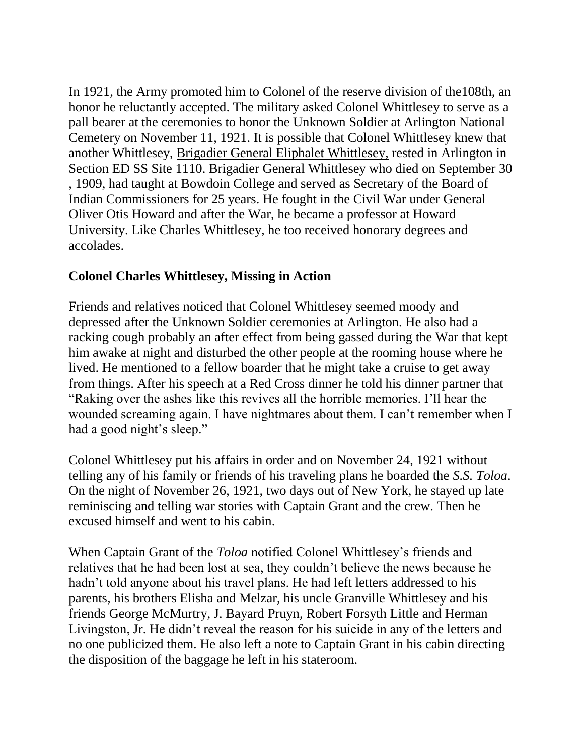In 1921, the Army promoted him to Colonel of the reserve division of the108th, an honor he reluctantly accepted. The military asked Colonel Whittlesey to serve as a pall bearer at the ceremonies to honor the Unknown Soldier at Arlington National Cemetery on November 11, 1921. It is possible that Colonel Whittlesey knew that another Whittlesey, [Brigadier General Eliphalet Whittlesey,](http://www.arlingtoncemetery.net/eliphalet-whittlesey.htm) rested in Arlington in Section ED SS Site 1110. Brigadier General Whittlesey who died on September 30 , 1909, had taught at Bowdoin College and served as Secretary of the Board of Indian Commissioners for 25 years. He fought in the Civil War under General Oliver Otis Howard and after the War, he became a professor at Howard University. Like Charles Whittlesey, he too received honorary degrees and accolades.

#### **Colonel Charles Whittlesey, Missing in Action**

Friends and relatives noticed that Colonel Whittlesey seemed moody and depressed after the Unknown Soldier ceremonies at Arlington. He also had a racking cough probably an after effect from being gassed during the War that kept him awake at night and disturbed the other people at the rooming house where he lived. He mentioned to a fellow boarder that he might take a cruise to get away from things. After his speech at a Red Cross dinner he told his dinner partner that "Raking over the ashes like this revives all the horrible memories. I'll hear the wounded screaming again. I have nightmares about them. I can't remember when I had a good night's sleep."

Colonel Whittlesey put his affairs in order and on November 24, 1921 without telling any of his family or friends of his traveling plans he boarded the *S.S. Toloa*. On the night of November 26, 1921, two days out of New York, he stayed up late reminiscing and telling war stories with Captain Grant and the crew. Then he excused himself and went to his cabin.

When Captain Grant of the *Toloa* notified Colonel Whittlesey's friends and relatives that he had been lost at sea, they couldn't believe the news because he hadn't told anyone about his travel plans. He had left letters addressed to his parents, his brothers Elisha and Melzar, his uncle Granville Whittlesey and his friends George McMurtry, J. Bayard Pruyn, Robert Forsyth Little and Herman Livingston, Jr. He didn't reveal the reason for his suicide in any of the letters and no one publicized them. He also left a note to Captain Grant in his cabin directing the disposition of the baggage he left in his stateroom.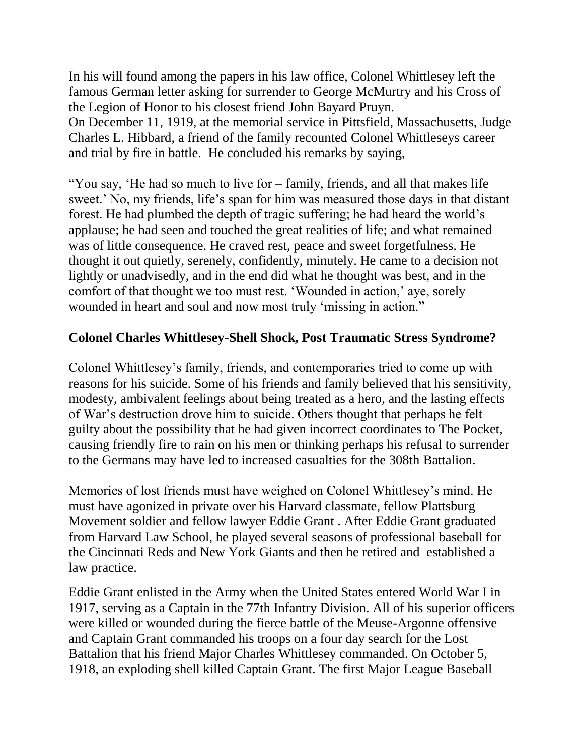In his will found among the papers in his law office, Colonel Whittlesey left the famous German letter asking for surrender to George McMurtry and his Cross of the Legion of Honor to his closest friend John Bayard Pruyn. On December 11, 1919, at the memorial service in Pittsfield, Massachusetts, Judge Charles L. Hibbard, a friend of the family recounted Colonel Whittleseys career and trial by fire in battle. He concluded his remarks by saying,

"You say, 'He had so much to live for – family, friends, and all that makes life sweet.' No, my friends, life's span for him was measured those days in that distant forest. He had plumbed the depth of tragic suffering; he had heard the world's applause; he had seen and touched the great realities of life; and what remained was of little consequence. He craved rest, peace and sweet forgetfulness. He thought it out quietly, serenely, confidently, minutely. He came to a decision not lightly or unadvisedly, and in the end did what he thought was best, and in the comfort of that thought we too must rest. 'Wounded in action,' aye, sorely wounded in heart and soul and now most truly 'missing in action."

#### **Colonel Charles Whittlesey-Shell Shock, Post Traumatic Stress Syndrome?**

Colonel Whittlesey's family, friends, and contemporaries tried to come up with reasons for his suicide. Some of his friends and family believed that his sensitivity, modesty, ambivalent feelings about being treated as a hero, and the lasting effects of War's destruction drove him to suicide. Others thought that perhaps he felt guilty about the possibility that he had given incorrect coordinates to The Pocket, causing friendly fire to rain on his men or thinking perhaps his refusal to surrender to the Germans may have led to increased casualties for the 308th Battalion.

Memories of lost friends must have weighed on Colonel Whittlesey's mind. He must have agonized in private over his Harvard classmate, fellow Plattsburg Movement soldier and fellow lawyer Eddie Grant . After Eddie Grant graduated from Harvard Law School, he played several seasons of professional baseball for the Cincinnati Reds and New York Giants and then he retired and established a law practice.

Eddie Grant enlisted in the Army when the United States entered World War I in 1917, serving as a Captain in the 77th Infantry Division. All of his superior officers were killed or wounded during the fierce battle of the Meuse-Argonne offensive and Captain Grant commanded his troops on a four day search for the Lost Battalion that his friend Major Charles Whittlesey commanded. On October 5, 1918, an exploding shell killed Captain Grant. The first Major League Baseball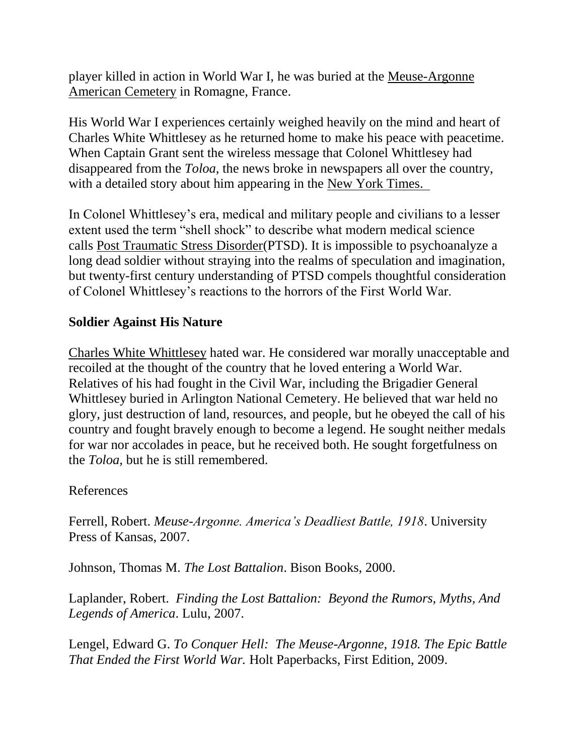player killed in action in World War I, he was buried at the [Meuse-Argonne](http://www.abmc.gov/search/detailw.php)  [American Cemetery](http://www.abmc.gov/search/detailw.php) in Romagne, France.

His World War I experiences certainly weighed heavily on the mind and heart of Charles White Whittlesey as he returned home to make his peace with peacetime. When Captain Grant sent the wireless message that Colonel Whittlesey had disappeared from the *Toloa*, the news broke in newspapers all over the country, with a detailed story about him appearing in the [New York Times.](http://query.nytimes.com/mem/archive-free/pdf?_r=1&res=9905E2D6113CE533A25753C3A9679D946095D6CF&oref=slogin) 

In Colonel Whittlesey's era, medical and military people and civilians to a lesser extent used the term "shell shock" to describe what modern medical science calls [Post Traumatic Stress Disorder\(](http://www.ptsdmanual.com/chap1.htm)PTSD). It is impossible to psychoanalyze a long dead soldier without straying into the realms of speculation and imagination, but twenty-first century understanding of PTSD compels thoughtful consideration of Colonel Whittlesey's reactions to the horrors of the First World War.

#### **Soldier Against His Nature**

[Charles White Whittlesey](http://books.google.com/books?id=Re7Qon5MZq0C&pg=PA37&source=gbs_toc_r&cad=4#v=onepage&q&f=false) hated war. He considered war morally unacceptable and recoiled at the thought of the country that he loved entering a World War. Relatives of his had fought in the Civil War, including the Brigadier General Whittlesey buried in Arlington National Cemetery. He believed that war held no glory, just destruction of land, resources, and people, but he obeyed the call of his country and fought bravely enough to become a legend. He sought neither medals for war nor accolades in peace, but he received both. He sought forgetfulness on the *Toloa,* but he is still remembered.

#### References

Ferrell, Robert. *Meuse-Argonne. America's Deadliest Battle, 1918*. University Press of Kansas, 2007.

Johnson, Thomas M. *The Lost Battalion*. Bison Books, 2000.

Laplander, Robert. *Finding the Lost Battalion: Beyond the Rumors, Myths, And Legends of America*. Lulu, 2007.

Lengel, Edward G. *To Conquer Hell: The Meuse-Argonne, 1918. The Epic Battle That Ended the First World War.* Holt Paperbacks, First Edition, 2009.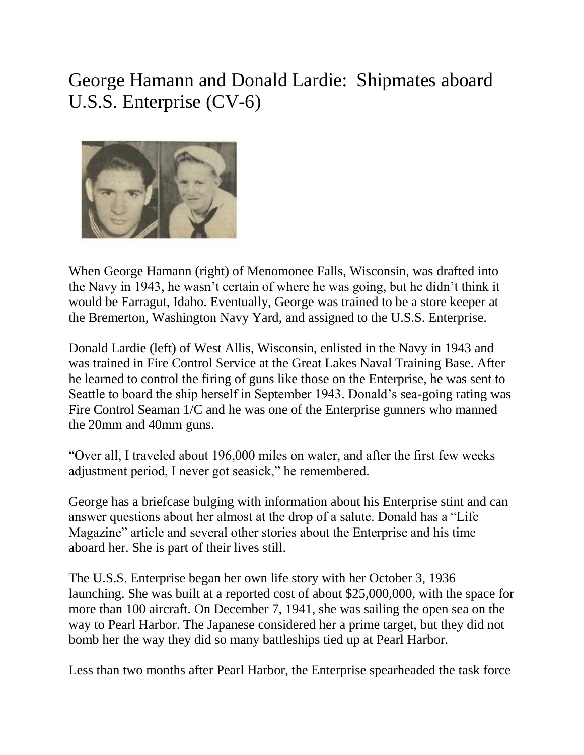# George Hamann and Donald Lardie: Shipmates aboard U.S.S. Enterprise (CV-6)



When George Hamann (right) of Menomonee Falls, Wisconsin, was drafted into the Navy in 1943, he wasn't certain of where he was going, but he didn't think it would be Farragut, Idaho. Eventually, George was trained to be a store keeper at the Bremerton, Washington Navy Yard, and assigned to the U.S.S. Enterprise.

Donald Lardie (left) of West Allis, Wisconsin, enlisted in the Navy in 1943 and was trained in Fire Control Service at the Great Lakes Naval Training Base. After he learned to control the firing of guns like those on the Enterprise, he was sent to Seattle to board the ship herself in September 1943. Donald's sea-going rating was Fire Control Seaman 1/C and he was one of the Enterprise gunners who manned the 20mm and 40mm guns.

"Over all, I traveled about 196,000 miles on water, and after the first few weeks adjustment period, I never got seasick," he remembered.

George has a briefcase bulging with information about his Enterprise stint and can answer questions about her almost at the drop of a salute. Donald has a "Life Magazine" article and several other stories about the Enterprise and his time aboard her. She is part of their lives still.

The U.S.S. Enterprise began her own life story with her October 3, 1936 launching. She was built at a reported cost of about \$25,000,000, with the space for more than 100 aircraft. On December 7, 1941, she was sailing the open sea on the way to Pearl Harbor. The Japanese considered her a prime target, but they did not bomb her the way they did so many battleships tied up at Pearl Harbor.

Less than two months after Pearl Harbor, the Enterprise spearheaded the task force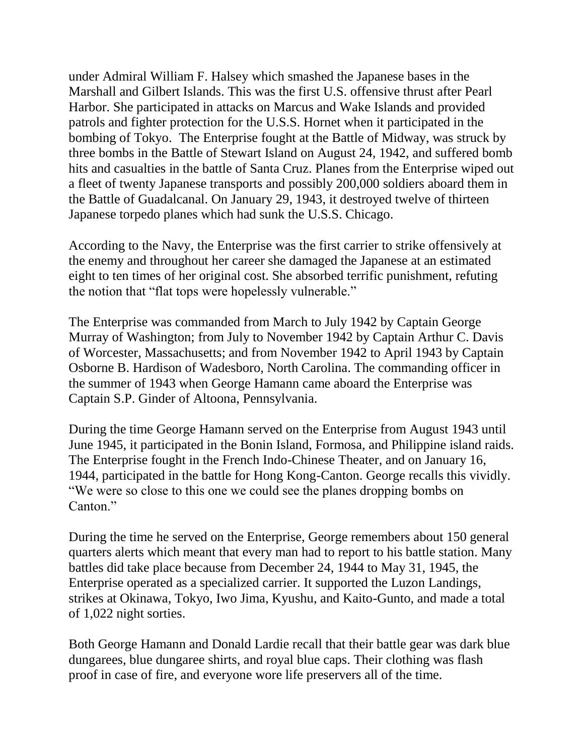under Admiral William F. Halsey which smashed the Japanese bases in the Marshall and Gilbert Islands. This was the first U.S. offensive thrust after Pearl Harbor. She participated in attacks on Marcus and Wake Islands and provided patrols and fighter protection for the U.S.S. Hornet when it participated in the bombing of Tokyo. The Enterprise fought at the Battle of Midway, was struck by three bombs in the Battle of Stewart Island on August 24, 1942, and suffered bomb hits and casualties in the battle of Santa Cruz. Planes from the Enterprise wiped out a fleet of twenty Japanese transports and possibly 200,000 soldiers aboard them in the Battle of Guadalcanal. On January 29, 1943, it destroyed twelve of thirteen Japanese torpedo planes which had sunk the U.S.S. Chicago.

According to the Navy, the Enterprise was the first carrier to strike offensively at the enemy and throughout her career she damaged the Japanese at an estimated eight to ten times of her original cost. She absorbed terrific punishment, refuting the notion that "flat tops were hopelessly vulnerable."

The Enterprise was commanded from March to July 1942 by Captain George Murray of Washington; from July to November 1942 by Captain Arthur C. Davis of Worcester, Massachusetts; and from November 1942 to April 1943 by Captain Osborne B. Hardison of Wadesboro, North Carolina. The commanding officer in the summer of 1943 when George Hamann came aboard the Enterprise was Captain S.P. Ginder of Altoona, Pennsylvania.

During the time George Hamann served on the Enterprise from August 1943 until June 1945, it participated in the Bonin Island, Formosa, and Philippine island raids. The Enterprise fought in the French Indo-Chinese Theater, and on January 16, 1944, participated in the battle for Hong Kong-Canton. George recalls this vividly. "We were so close to this one we could see the planes dropping bombs on Canton."

During the time he served on the Enterprise, George remembers about 150 general quarters alerts which meant that every man had to report to his battle station. Many battles did take place because from December 24, 1944 to May 31, 1945, the Enterprise operated as a specialized carrier. It supported the Luzon Landings, strikes at Okinawa, Tokyo, Iwo Jima, Kyushu, and Kaito-Gunto, and made a total of 1,022 night sorties.

Both George Hamann and Donald Lardie recall that their battle gear was dark blue dungarees, blue dungaree shirts, and royal blue caps. Their clothing was flash proof in case of fire, and everyone wore life preservers all of the time.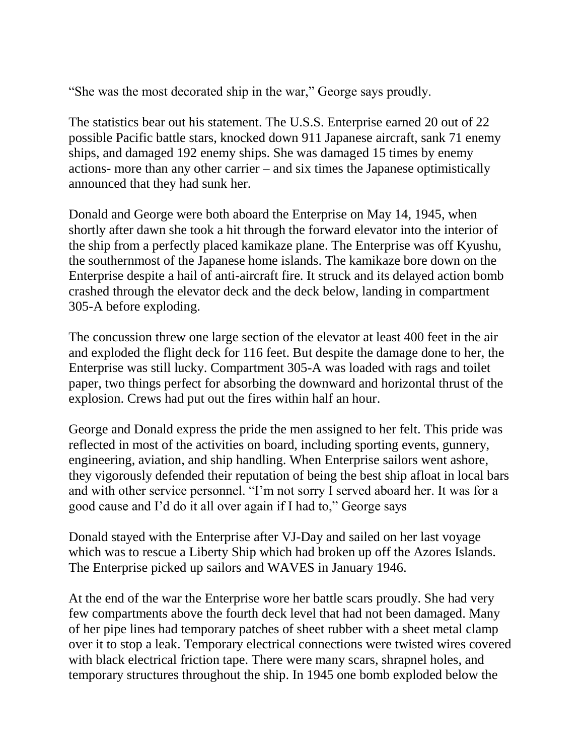"She was the most decorated ship in the war," George says proudly.

The statistics bear out his statement. The U.S.S. Enterprise earned 20 out of 22 possible Pacific battle stars, knocked down 911 Japanese aircraft, sank 71 enemy ships, and damaged 192 enemy ships. She was damaged 15 times by enemy actions- more than any other carrier – and six times the Japanese optimistically announced that they had sunk her.

Donald and George were both aboard the Enterprise on May 14, 1945, when shortly after dawn she took a hit through the forward elevator into the interior of the ship from a perfectly placed kamikaze plane. The Enterprise was off Kyushu, the southernmost of the Japanese home islands. The kamikaze bore down on the Enterprise despite a hail of anti-aircraft fire. It struck and its delayed action bomb crashed through the elevator deck and the deck below, landing in compartment 305-A before exploding.

The concussion threw one large section of the elevator at least 400 feet in the air and exploded the flight deck for 116 feet. But despite the damage done to her, the Enterprise was still lucky. Compartment 305-A was loaded with rags and toilet paper, two things perfect for absorbing the downward and horizontal thrust of the explosion. Crews had put out the fires within half an hour.

George and Donald express the pride the men assigned to her felt. This pride was reflected in most of the activities on board, including sporting events, gunnery, engineering, aviation, and ship handling. When Enterprise sailors went ashore, they vigorously defended their reputation of being the best ship afloat in local bars and with other service personnel. "I'm not sorry I served aboard her. It was for a good cause and I'd do it all over again if I had to," George says

Donald stayed with the Enterprise after VJ-Day and sailed on her last voyage which was to rescue a Liberty Ship which had broken up off the Azores Islands. The Enterprise picked up sailors and WAVES in January 1946.

At the end of the war the Enterprise wore her battle scars proudly. She had very few compartments above the fourth deck level that had not been damaged. Many of her pipe lines had temporary patches of sheet rubber with a sheet metal clamp over it to stop a leak. Temporary electrical connections were twisted wires covered with black electrical friction tape. There were many scars, shrapnel holes, and temporary structures throughout the ship. In 1945 one bomb exploded below the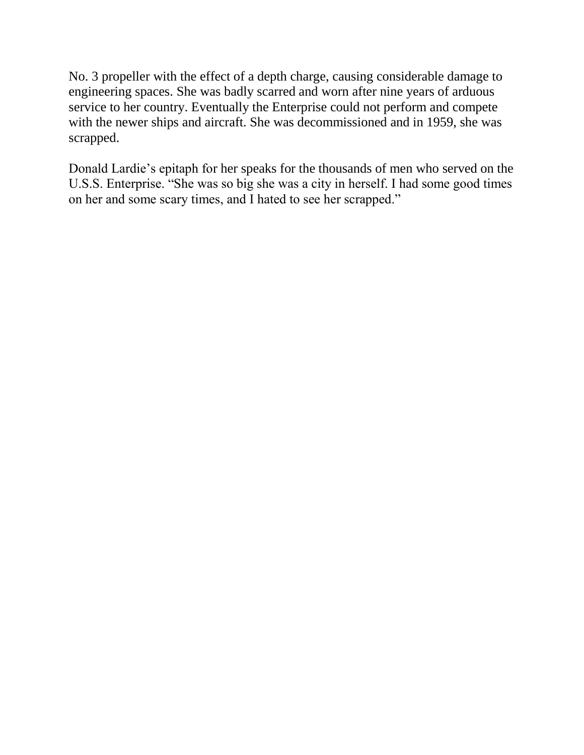No. 3 propeller with the effect of a depth charge, causing considerable damage to engineering spaces. She was badly scarred and worn after nine years of arduous service to her country. Eventually the Enterprise could not perform and compete with the newer ships and aircraft. She was decommissioned and in 1959, she was scrapped.

Donald Lardie's epitaph for her speaks for the thousands of men who served on the U.S.S. Enterprise. "She was so big she was a city in herself. I had some good times on her and some scary times, and I hated to see her scrapped."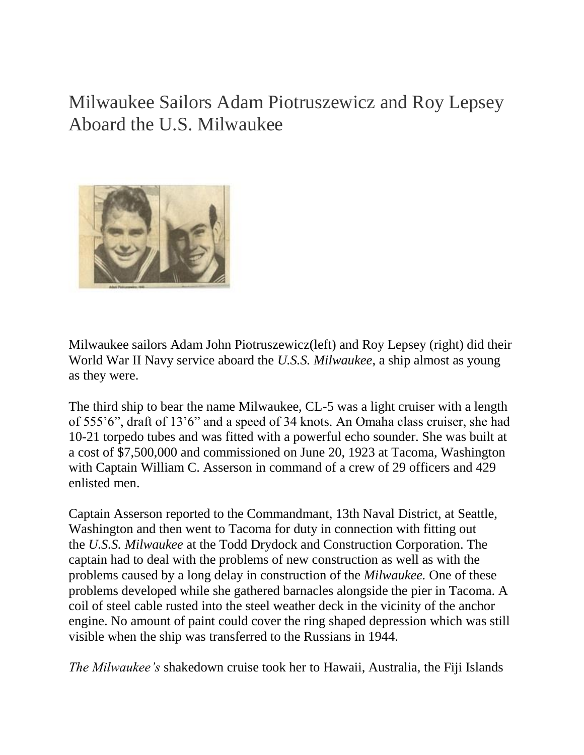Milwaukee Sailors Adam Piotruszewicz and Roy Lepsey Aboard the U.S. Milwaukee



Milwaukee sailors Adam John Piotruszewicz(left) and Roy Lepsey (right) did their World War II Navy service aboard the *U.S.S. Milwaukee*, a ship almost as young as they were.

The third ship to bear the name Milwaukee, CL-5 was a light cruiser with a length of 555'6", draft of 13'6" and a speed of 34 knots. An Omaha class cruiser, she had 10-21 torpedo tubes and was fitted with a powerful echo sounder. She was built at a cost of \$7,500,000 and commissioned on June 20, 1923 at Tacoma, Washington with Captain William C. Asserson in command of a crew of 29 officers and 429 enlisted men.

Captain Asserson reported to the Commandmant, 13th Naval District, at Seattle, Washington and then went to Tacoma for duty in connection with fitting out the *U.S.S. Milwaukee* at the Todd Drydock and Construction Corporation. The captain had to deal with the problems of new construction as well as with the problems caused by a long delay in construction of the *Milwaukee.* One of these problems developed while she gathered barnacles alongside the pier in Tacoma. A coil of steel cable rusted into the steel weather deck in the vicinity of the anchor engine. No amount of paint could cover the ring shaped depression which was still visible when the ship was transferred to the Russians in 1944.

*The Milwaukee's* shakedown cruise took her to Hawaii, Australia, the Fiji Islands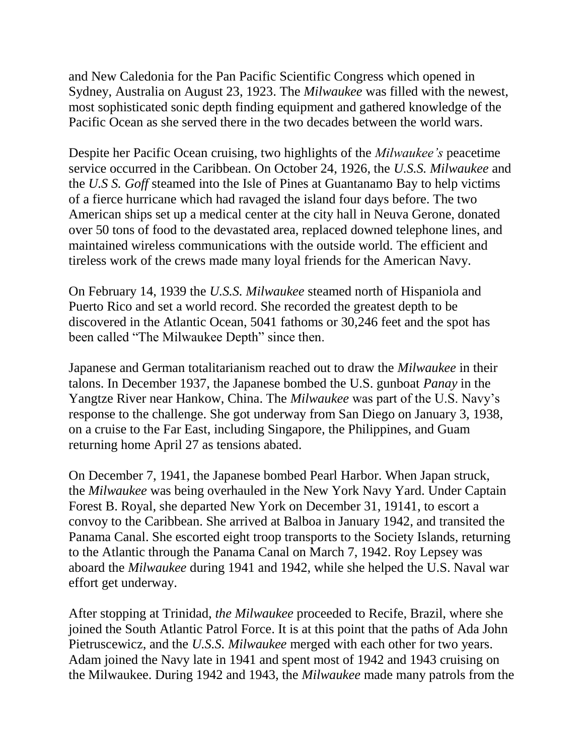and New Caledonia for the Pan Pacific Scientific Congress which opened in Sydney, Australia on August 23, 1923. The *Milwaukee* was filled with the newest, most sophisticated sonic depth finding equipment and gathered knowledge of the Pacific Ocean as she served there in the two decades between the world wars.

Despite her Pacific Ocean cruising, two highlights of the *Milwaukee's* peacetime service occurred in the Caribbean. On October 24, 1926, the *U.S.S. Milwaukee* and the *U.S S. Goff* steamed into the Isle of Pines at Guantanamo Bay to help victims of a fierce hurricane which had ravaged the island four days before. The two American ships set up a medical center at the city hall in Neuva Gerone, donated over 50 tons of food to the devastated area, replaced downed telephone lines, and maintained wireless communications with the outside world. The efficient and tireless work of the crews made many loyal friends for the American Navy.

On February 14, 1939 the *U.S.S. Milwaukee* steamed north of Hispaniola and Puerto Rico and set a world record. She recorded the greatest depth to be discovered in the Atlantic Ocean, 5041 fathoms or 30,246 feet and the spot has been called "The Milwaukee Depth" since then.

Japanese and German totalitarianism reached out to draw the *Milwaukee* in their talons. In December 1937, the Japanese bombed the U.S. gunboat *Panay* in the Yangtze River near Hankow, China. The *Milwaukee* was part of the U.S. Navy's response to the challenge. She got underway from San Diego on January 3, 1938, on a cruise to the Far East, including Singapore, the Philippines, and Guam returning home April 27 as tensions abated.

On December 7, 1941, the Japanese bombed Pearl Harbor. When Japan struck, the *Milwaukee* was being overhauled in the New York Navy Yard. Under Captain Forest B. Royal, she departed New York on December 31, 19141, to escort a convoy to the Caribbean. She arrived at Balboa in January 1942, and transited the Panama Canal. She escorted eight troop transports to the Society Islands, returning to the Atlantic through the Panama Canal on March 7, 1942. Roy Lepsey was aboard the *Milwaukee* during 1941 and 1942, while she helped the U.S. Naval war effort get underway.

After stopping at Trinidad, *the Milwaukee* proceeded to Recife, Brazil, where she joined the South Atlantic Patrol Force. It is at this point that the paths of Ada John Pietruscewicz, and the *U.S.S. Milwaukee* merged with each other for two years. Adam joined the Navy late in 1941 and spent most of 1942 and 1943 cruising on the Milwaukee. During 1942 and 1943, the *Milwaukee* made many patrols from the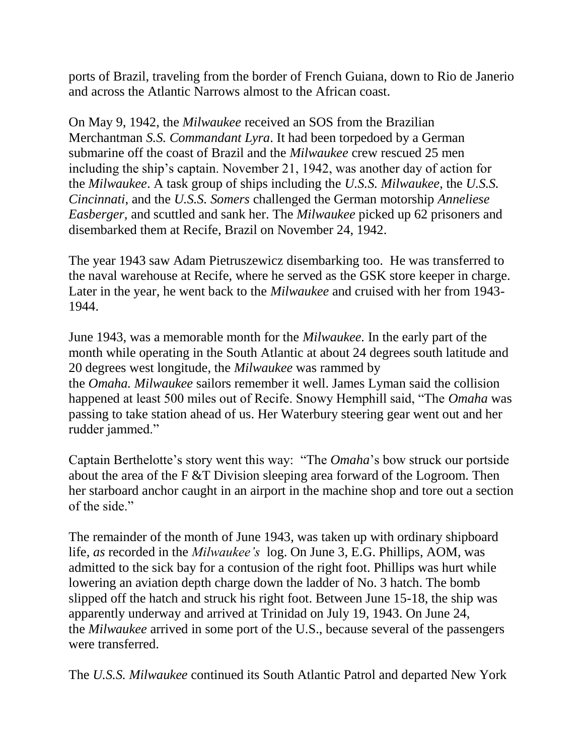ports of Brazil, traveling from the border of French Guiana, down to Rio de Janerio and across the Atlantic Narrows almost to the African coast.

On May 9, 1942, the *Milwaukee* received an SOS from the Brazilian Merchantman *S.S. Commandant Lyra*. It had been torpedoed by a German submarine off the coast of Brazil and the *Milwaukee* crew rescued 25 men including the ship's captain. November 21, 1942, was another day of action for the *Milwaukee*. A task group of ships including the *U.S.S. Milwaukee*, the *U.S.S. Cincinnati*, and the *U.S.S. Somers* challenged the German motorship *Anneliese Easberger,* and scuttled and sank her. The *Milwaukee* picked up 62 prisoners and disembarked them at Recife, Brazil on November 24, 1942.

The year 1943 saw Adam Pietruszewicz disembarking too. He was transferred to the naval warehouse at Recife, where he served as the GSK store keeper in charge. Later in the year, he went back to the *Milwaukee* and cruised with her from 1943- 1944.

June 1943, was a memorable month for the *Milwaukee.* In the early part of the month while operating in the South Atlantic at about 24 degrees south latitude and 20 degrees west longitude, the *Milwaukee* was rammed by the *Omaha. Milwaukee* sailors remember it well. James Lyman said the collision happened at least 500 miles out of Recife. Snowy Hemphill said, "The *Omaha* was passing to take station ahead of us. Her Waterbury steering gear went out and her rudder jammed."

Captain Berthelotte's story went this way: "The *Omaha*'s bow struck our portside about the area of the F &T Division sleeping area forward of the Logroom. Then her starboard anchor caught in an airport in the machine shop and tore out a section of the side."

The remainder of the month of June 1943, was taken up with ordinary shipboard life*, as* recorded in the *Milwaukee's* log. On June 3, E.G. Phillips, AOM, was admitted to the sick bay for a contusion of the right foot. Phillips was hurt while lowering an aviation depth charge down the ladder of No. 3 hatch. The bomb slipped off the hatch and struck his right foot. Between June 15-18, the ship was apparently underway and arrived at Trinidad on July 19, 1943. On June 24, the *Milwaukee* arrived in some port of the U.S., because several of the passengers were transferred.

The *U.S.S. Milwaukee* continued its South Atlantic Patrol and departed New York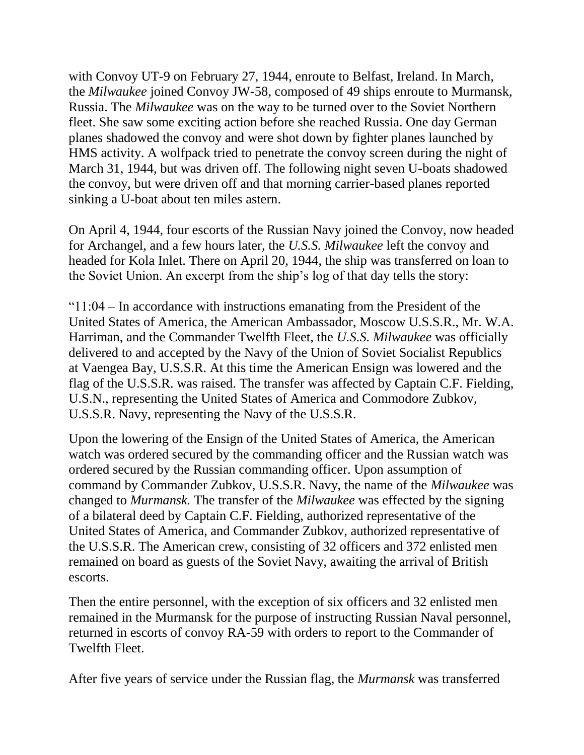with Convoy UT-9 on February 27, 1944, enroute to Belfast, Ireland. In March, the *Milwaukee* joined Convoy JW-58, composed of 49 ships enroute to Murmansk, Russia. The *Milwaukee* was on the way to be turned over to the Soviet Northern fleet. She saw some exciting action before she reached Russia. One day German planes shadowed the convoy and were shot down by fighter planes launched by HMS activity. A wolfpack tried to penetrate the convoy screen during the night of March 31, 1944, but was driven off. The following night seven U-boats shadowed the convoy, but were driven off and that morning carrier-based planes reported sinking a U-boat about ten miles astern.

On April 4, 1944, four escorts of the Russian Navy joined the Convoy, now headed for Archangel, and a few hours later, the *U.S.S. Milwaukee* left the convoy and headed for Kola Inlet. There on April 20, 1944, the ship was transferred on loan to the Soviet Union. An excerpt from the ship's log of that day tells the story:

" $11:04$  – In accordance with instructions emanating from the President of the United States of America, the American Ambassador, Moscow U.S.S.R., Mr. W.A. Harriman, and the Commander Twelfth Fleet, the *U.S.S. Milwaukee* was officially delivered to and accepted by the Navy of the Union of Soviet Socialist Republics at Vaengea Bay, U.S.S.R. At this time the American Ensign was lowered and the flag of the U.S.S.R. was raised. The transfer was affected by Captain C.F. Fielding, U.S.N., representing the United States of America and Commodore Zubkov, U.S.S.R. Navy, representing the Navy of the U.S.S.R.

Upon the lowering of the Ensign of the United States of America, the American watch was ordered secured by the commanding officer and the Russian watch was ordered secured by the Russian commanding officer. Upon assumption of command by Commander Zubkov, U.S.S.R. Navy, the name of the *Milwaukee* was changed to *Murmansk.* The transfer of the *Milwaukee* was effected by the signing of a bilateral deed by Captain C.F. Fielding, authorized representative of the United States of America, and Commander Zubkov, authorized representative of the U.S.S.R. The American crew, consisting of 32 officers and 372 enlisted men remained on board as guests of the Soviet Navy, awaiting the arrival of British escorts.

Then the entire personnel, with the exception of six officers and 32 enlisted men remained in the Murmansk for the purpose of instructing Russian Naval personnel, returned in escorts of convoy RA-59 with orders to report to the Commander of Twelfth Fleet.

After five years of service under the Russian flag, the *Murmansk* was transferred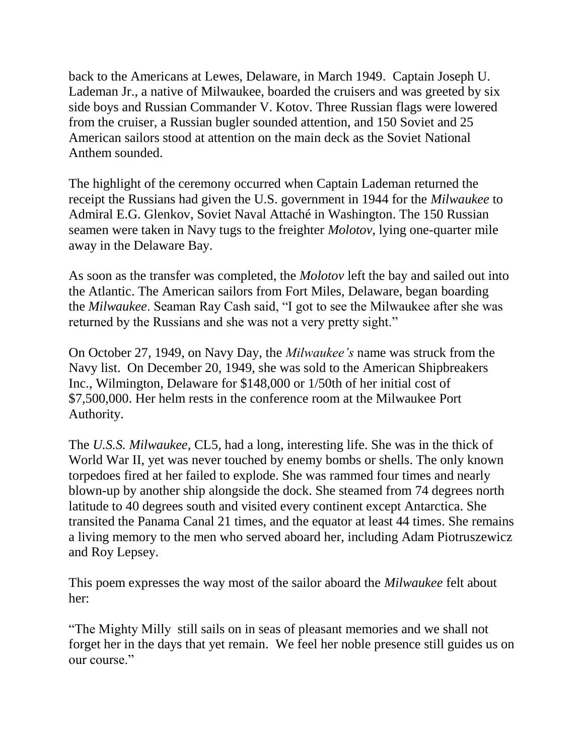back to the Americans at Lewes, Delaware, in March 1949. Captain Joseph U. Lademan Jr., a native of Milwaukee, boarded the cruisers and was greeted by six side boys and Russian Commander V. Kotov. Three Russian flags were lowered from the cruiser, a Russian bugler sounded attention, and 150 Soviet and 25 American sailors stood at attention on the main deck as the Soviet National Anthem sounded.

The highlight of the ceremony occurred when Captain Lademan returned the receipt the Russians had given the U.S. government in 1944 for the *Milwaukee* to Admiral E.G. Glenkov, Soviet Naval Attaché in Washington. The 150 Russian seamen were taken in Navy tugs to the freighter *Molotov*, lying one-quarter mile away in the Delaware Bay.

As soon as the transfer was completed, the *Molotov* left the bay and sailed out into the Atlantic. The American sailors from Fort Miles, Delaware, began boarding the *Milwaukee*. Seaman Ray Cash said, "I got to see the Milwaukee after she was returned by the Russians and she was not a very pretty sight."

On October 27, 1949, on Navy Day, the *Milwaukee's* name was struck from the Navy list. On December 20, 1949, she was sold to the American Shipbreakers Inc., Wilmington, Delaware for \$148,000 or 1/50th of her initial cost of \$7,500,000. Her helm rests in the conference room at the Milwaukee Port Authority.

The *U.S.S. Milwaukee*, CL5, had a long, interesting life. She was in the thick of World War II, yet was never touched by enemy bombs or shells. The only known torpedoes fired at her failed to explode. She was rammed four times and nearly blown-up by another ship alongside the dock. She steamed from 74 degrees north latitude to 40 degrees south and visited every continent except Antarctica. She transited the Panama Canal 21 times, and the equator at least 44 times. She remains a living memory to the men who served aboard her, including Adam Piotruszewicz and Roy Lepsey.

This poem expresses the way most of the sailor aboard the *Milwaukee* felt about her:

"The Mighty Milly still sails on in seas of pleasant memories and we shall not forget her in the days that yet remain. We feel her noble presence still guides us on our course."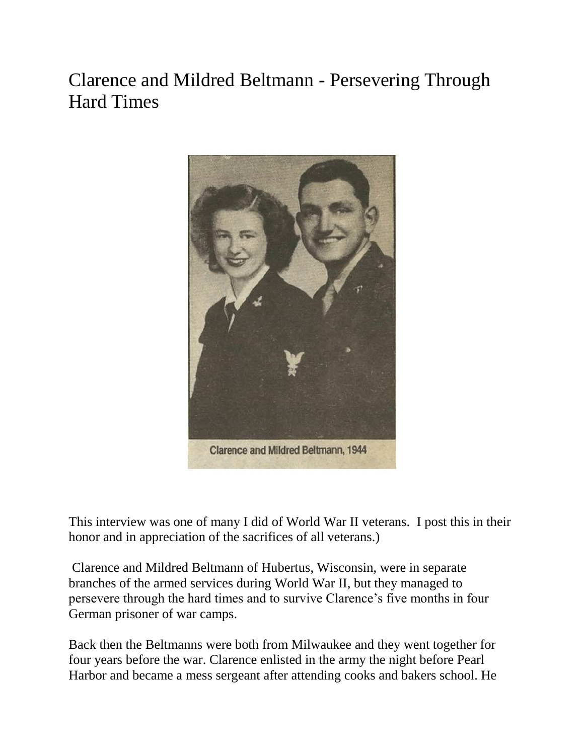# Clarence and Mildred Beltmann - Persevering Through Hard Times



This interview was one of many I did of World War II veterans. I post this in their honor and in appreciation of the sacrifices of all veterans.)

Clarence and Mildred Beltmann of Hubertus, Wisconsin, were in separate branches of the armed services during World War II, but they managed to persevere through the hard times and to survive Clarence's five months in four German prisoner of war camps.

Back then the Beltmanns were both from Milwaukee and they went together for four years before the war. Clarence enlisted in the army the night before Pearl Harbor and became a mess sergeant after attending cooks and bakers school. He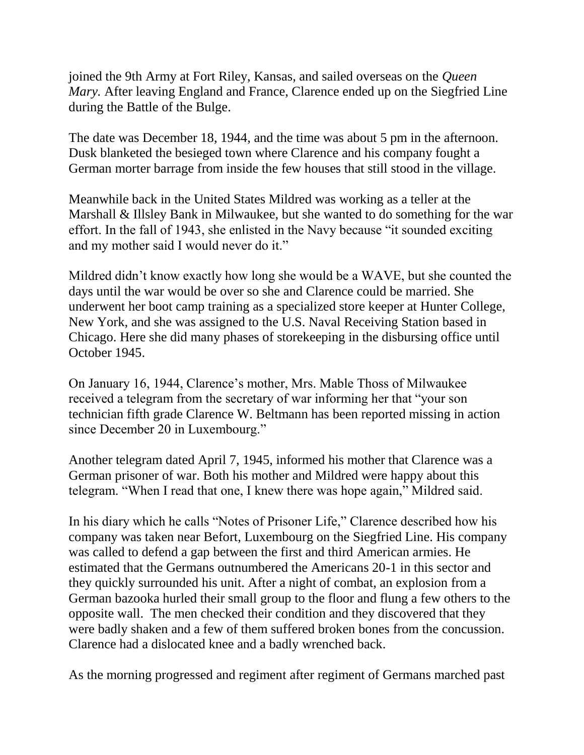joined the 9th Army at Fort Riley, Kansas, and sailed overseas on the *Queen Mary.* After leaving England and France, Clarence ended up on the Siegfried Line during the Battle of the Bulge.

The date was December 18, 1944, and the time was about 5 pm in the afternoon. Dusk blanketed the besieged town where Clarence and his company fought a German morter barrage from inside the few houses that still stood in the village.

Meanwhile back in the United States Mildred was working as a teller at the Marshall & Illsley Bank in Milwaukee, but she wanted to do something for the war effort. In the fall of 1943, she enlisted in the Navy because "it sounded exciting and my mother said I would never do it."

Mildred didn't know exactly how long she would be a WAVE, but she counted the days until the war would be over so she and Clarence could be married. She underwent her boot camp training as a specialized store keeper at Hunter College, New York, and she was assigned to the U.S. Naval Receiving Station based in Chicago. Here she did many phases of storekeeping in the disbursing office until October 1945.

On January 16, 1944, Clarence's mother, Mrs. Mable Thoss of Milwaukee received a telegram from the secretary of war informing her that "your son technician fifth grade Clarence W. Beltmann has been reported missing in action since December 20 in Luxembourg."

Another telegram dated April 7, 1945, informed his mother that Clarence was a German prisoner of war. Both his mother and Mildred were happy about this telegram. "When I read that one, I knew there was hope again," Mildred said.

In his diary which he calls "Notes of Prisoner Life," Clarence described how his company was taken near Befort, Luxembourg on the Siegfried Line. His company was called to defend a gap between the first and third American armies. He estimated that the Germans outnumbered the Americans 20-1 in this sector and they quickly surrounded his unit. After a night of combat, an explosion from a German bazooka hurled their small group to the floor and flung a few others to the opposite wall. The men checked their condition and they discovered that they were badly shaken and a few of them suffered broken bones from the concussion. Clarence had a dislocated knee and a badly wrenched back.

As the morning progressed and regiment after regiment of Germans marched past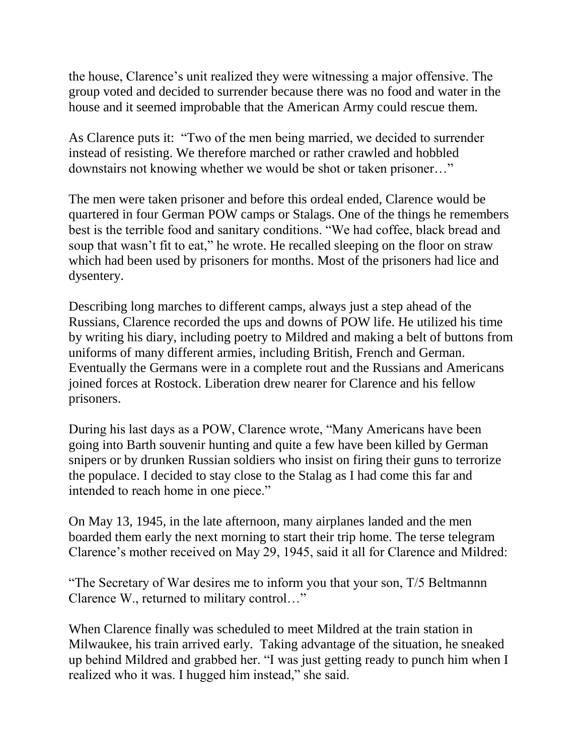the house, Clarence's unit realized they were witnessing a major offensive. The group voted and decided to surrender because there was no food and water in the house and it seemed improbable that the American Army could rescue them.

As Clarence puts it: "Two of the men being married, we decided to surrender instead of resisting. We therefore marched or rather crawled and hobbled downstairs not knowing whether we would be shot or taken prisoner…"

The men were taken prisoner and before this ordeal ended, Clarence would be quartered in four German POW camps or Stalags. One of the things he remembers best is the terrible food and sanitary conditions. "We had coffee, black bread and soup that wasn't fit to eat," he wrote. He recalled sleeping on the floor on straw which had been used by prisoners for months. Most of the prisoners had lice and dysentery.

Describing long marches to different camps, always just a step ahead of the Russians, Clarence recorded the ups and downs of POW life. He utilized his time by writing his diary, including poetry to Mildred and making a belt of buttons from uniforms of many different armies, including British, French and German. Eventually the Germans were in a complete rout and the Russians and Americans joined forces at Rostock. Liberation drew nearer for Clarence and his fellow prisoners.

During his last days as a POW, Clarence wrote, "Many Americans have been going into Barth souvenir hunting and quite a few have been killed by German snipers or by drunken Russian soldiers who insist on firing their guns to terrorize the populace. I decided to stay close to the Stalag as I had come this far and intended to reach home in one piece."

On May 13, 1945, in the late afternoon, many airplanes landed and the men boarded them early the next morning to start their trip home. The terse telegram Clarence's mother received on May 29, 1945, said it all for Clarence and Mildred:

"The Secretary of War desires me to inform you that your son, T/5 Beltmannn Clarence W., returned to military control…"

When Clarence finally was scheduled to meet Mildred at the train station in Milwaukee, his train arrived early. Taking advantage of the situation, he sneaked up behind Mildred and grabbed her. "I was just getting ready to punch him when I realized who it was. I hugged him instead," she said.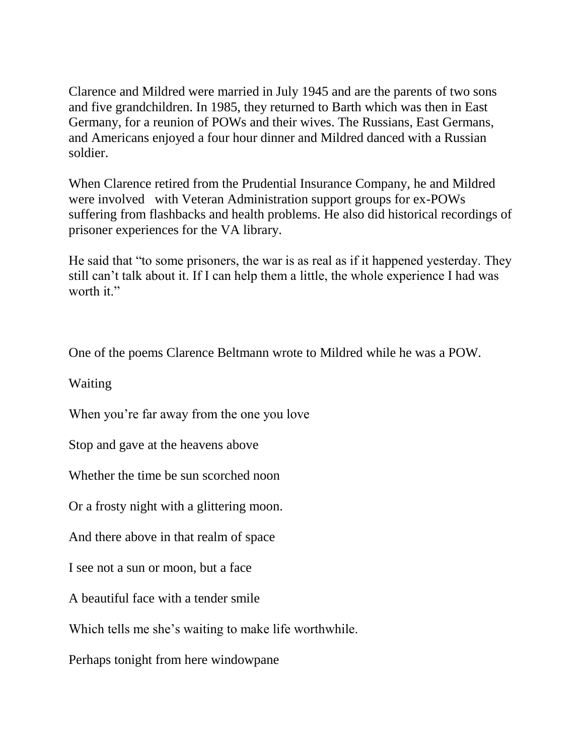Clarence and Mildred were married in July 1945 and are the parents of two sons and five grandchildren. In 1985, they returned to Barth which was then in East Germany, for a reunion of POWs and their wives. The Russians, East Germans, and Americans enjoyed a four hour dinner and Mildred danced with a Russian soldier.

When Clarence retired from the Prudential Insurance Company, he and Mildred were involved with Veteran Administration support groups for ex-POWs suffering from flashbacks and health problems. He also did historical recordings of prisoner experiences for the VA library.

He said that "to some prisoners, the war is as real as if it happened yesterday. They still can't talk about it. If I can help them a little, the whole experience I had was worth it."

One of the poems Clarence Beltmann wrote to Mildred while he was a POW.

Waiting

When you're far away from the one you love

Stop and gave at the heavens above

Whether the time be sun scorched noon

Or a frosty night with a glittering moon.

And there above in that realm of space

I see not a sun or moon, but a face

A beautiful face with a tender smile

Which tells me she's waiting to make life worthwhile.

Perhaps tonight from here windowpane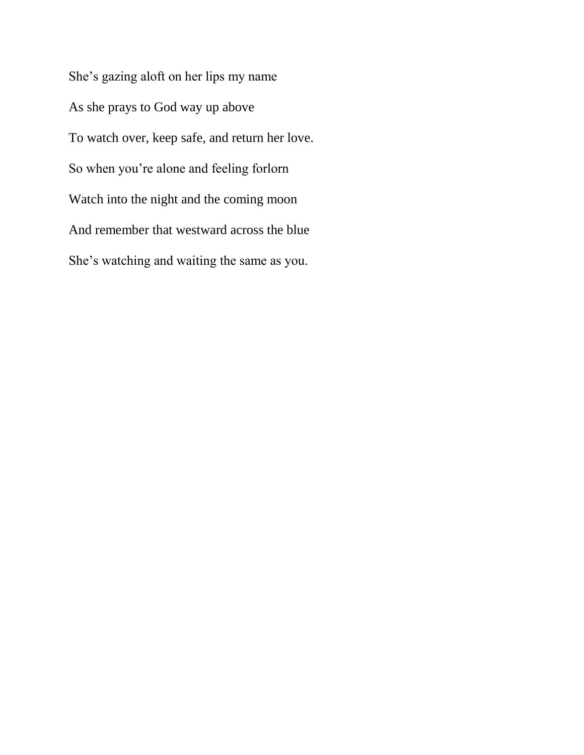She's gazing aloft on her lips my name As she prays to God way up above To watch over, keep safe, and return her love. So when you're alone and feeling forlorn Watch into the night and the coming moon And remember that westward across the blue She's watching and waiting the same as you.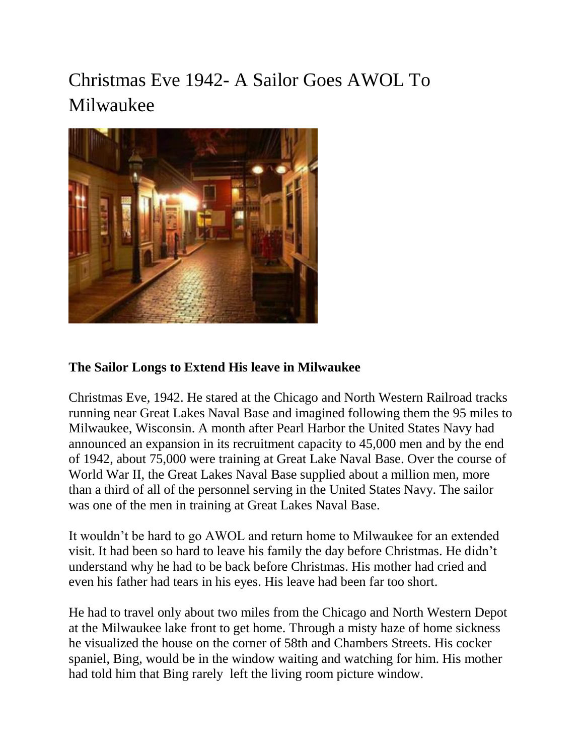# Christmas Eve 1942- A Sailor Goes AWOL To Milwaukee



#### **The Sailor Longs to Extend His leave in Milwaukee**

Christmas Eve, 1942. He stared at the Chicago and North Western Railroad tracks running near Great Lakes Naval Base and imagined following them the 95 miles to Milwaukee, Wisconsin. A month after Pearl Harbor the United States Navy had announced an expansion in its recruitment capacity to 45,000 men and by the end of 1942, about 75,000 were training at Great Lake Naval Base. Over the course of World War II, the Great Lakes Naval Base supplied about a million men, more than a third of all of the personnel serving in the United States Navy. The sailor was one of the men in training at Great Lakes Naval Base.

It wouldn't be hard to go AWOL and return home to Milwaukee for an extended visit. It had been so hard to leave his family the day before Christmas. He didn't understand why he had to be back before Christmas. His mother had cried and even his father had tears in his eyes. His leave had been far too short.

He had to travel only about two miles from the Chicago and North Western Depot at the Milwaukee lake front to get home. Through a misty haze of home sickness he visualized the house on the corner of 58th and Chambers Streets. His cocker spaniel, Bing, would be in the window waiting and watching for him. His mother had told him that Bing rarely left the living room picture window.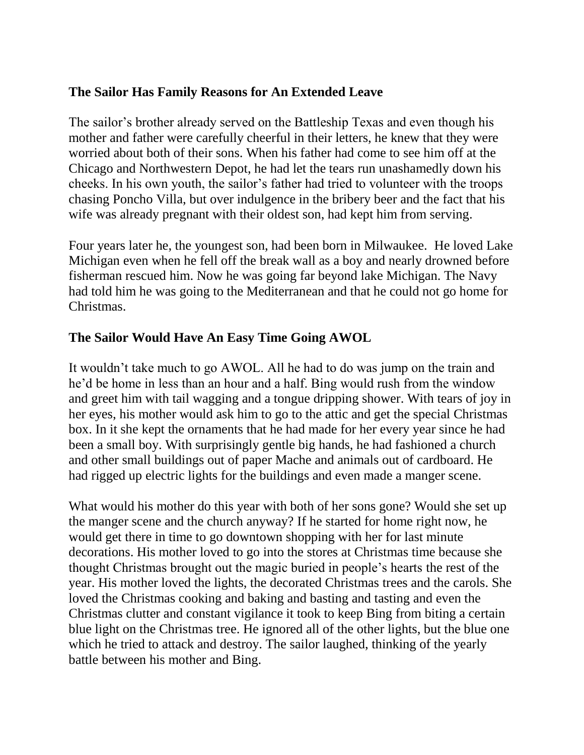#### **The Sailor Has Family Reasons for An Extended Leave**

The sailor's brother already served on the Battleship Texas and even though his mother and father were carefully cheerful in their letters, he knew that they were worried about both of their sons. When his father had come to see him off at the Chicago and Northwestern Depot, he had let the tears run unashamedly down his cheeks. In his own youth, the sailor's father had tried to volunteer with the troops chasing Poncho Villa, but over indulgence in the bribery beer and the fact that his wife was already pregnant with their oldest son, had kept him from serving.

Four years later he, the youngest son, had been born in Milwaukee. He loved Lake Michigan even when he fell off the break wall as a boy and nearly drowned before fisherman rescued him. Now he was going far beyond lake Michigan. The Navy had told him he was going to the Mediterranean and that he could not go home for Christmas.

#### **The Sailor Would Have An Easy Time Going AWOL**

It wouldn't take much to go AWOL. All he had to do was jump on the train and he'd be home in less than an hour and a half. Bing would rush from the window and greet him with tail wagging and a tongue dripping shower. With tears of joy in her eyes, his mother would ask him to go to the attic and get the special Christmas box. In it she kept the ornaments that he had made for her every year since he had been a small boy. With surprisingly gentle big hands, he had fashioned a church and other small buildings out of paper Mache and animals out of cardboard. He had rigged up electric lights for the buildings and even made a manger scene.

What would his mother do this year with both of her sons gone? Would she set up the manger scene and the church anyway? If he started for home right now, he would get there in time to go downtown shopping with her for last minute decorations. His mother loved to go into the stores at Christmas time because she thought Christmas brought out the magic buried in people's hearts the rest of the year. His mother loved the lights, the decorated Christmas trees and the carols. She loved the Christmas cooking and baking and basting and tasting and even the Christmas clutter and constant vigilance it took to keep Bing from biting a certain blue light on the Christmas tree. He ignored all of the other lights, but the blue one which he tried to attack and destroy. The sailor laughed, thinking of the yearly battle between his mother and Bing.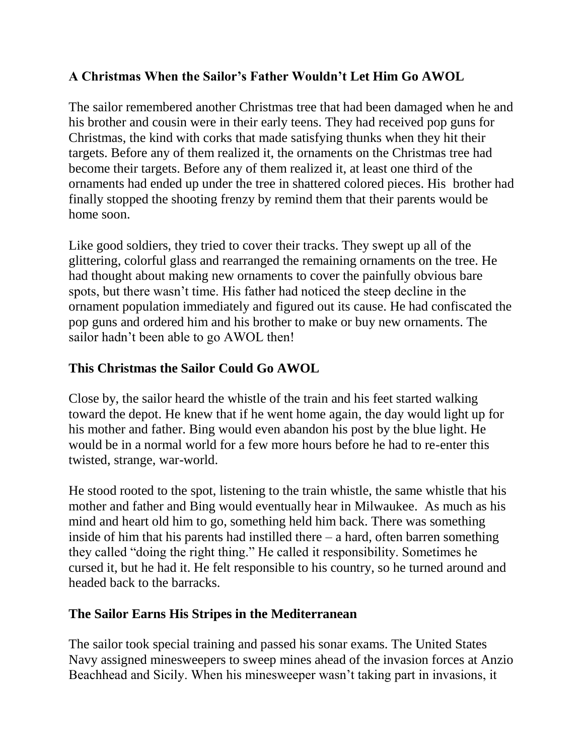### **A Christmas When the Sailor's Father Wouldn't Let Him Go AWOL**

The sailor remembered another Christmas tree that had been damaged when he and his brother and cousin were in their early teens. They had received pop guns for Christmas, the kind with corks that made satisfying thunks when they hit their targets. Before any of them realized it, the ornaments on the Christmas tree had become their targets. Before any of them realized it, at least one third of the ornaments had ended up under the tree in shattered colored pieces. His brother had finally stopped the shooting frenzy by remind them that their parents would be home soon.

Like good soldiers, they tried to cover their tracks. They swept up all of the glittering, colorful glass and rearranged the remaining ornaments on the tree. He had thought about making new ornaments to cover the painfully obvious bare spots, but there wasn't time. His father had noticed the steep decline in the ornament population immediately and figured out its cause. He had confiscated the pop guns and ordered him and his brother to make or buy new ornaments. The sailor hadn't been able to go AWOL then!

#### **This Christmas the Sailor Could Go AWOL**

Close by, the sailor heard the whistle of the train and his feet started walking toward the depot. He knew that if he went home again, the day would light up for his mother and father. Bing would even abandon his post by the blue light. He would be in a normal world for a few more hours before he had to re-enter this twisted, strange, war-world.

He stood rooted to the spot, listening to the train whistle, the same whistle that his mother and father and Bing would eventually hear in Milwaukee. As much as his mind and heart old him to go, something held him back. There was something inside of him that his parents had instilled there  $-$  a hard, often barren something they called "doing the right thing." He called it responsibility. Sometimes he cursed it, but he had it. He felt responsible to his country, so he turned around and headed back to the barracks.

#### **The Sailor Earns His Stripes in the Mediterranean**

The sailor took special training and passed his sonar exams. The United States Navy assigned minesweepers to sweep mines ahead of the invasion forces at Anzio Beachhead and Sicily. When his minesweeper wasn't taking part in invasions, it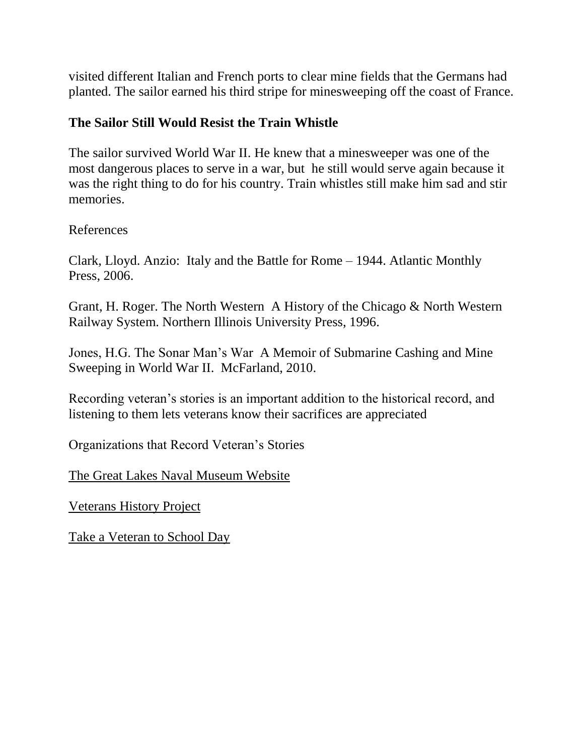visited different Italian and French ports to clear mine fields that the Germans had planted. The sailor earned his third stripe for minesweeping off the coast of France.

#### **The Sailor Still Would Resist the Train Whistle**

The sailor survived World War II. He knew that a minesweeper was one of the most dangerous places to serve in a war, but he still would serve again because it was the right thing to do for his country. Train whistles still make him sad and stir memories.

References

Clark, Lloyd. Anzio: Italy and the Battle for Rome – 1944. Atlantic Monthly Press, 2006.

Grant, H. Roger. The North Western A History of the Chicago & North Western Railway System. Northern Illinois University Press, 1996.

Jones, H.G. The Sonar Man's War A Memoir of Submarine Cashing and Mine Sweeping in World War II. McFarland, 2010.

Recording veteran's stories is an important addition to the historical record, and listening to them lets veterans know their sacrifices are appreciated

Organizations that Record Veteran's Stories

[The Great Lakes Naval Museum Website](http://www.history.navy.mil/museums/greatlakes/index.htm)

[Veterans History Project](http://www.loc.gov/vets/)

[Take a Veteran to School Day](http://www.nea.org/tools/lessons/take-a-veteran-to-school-day.html)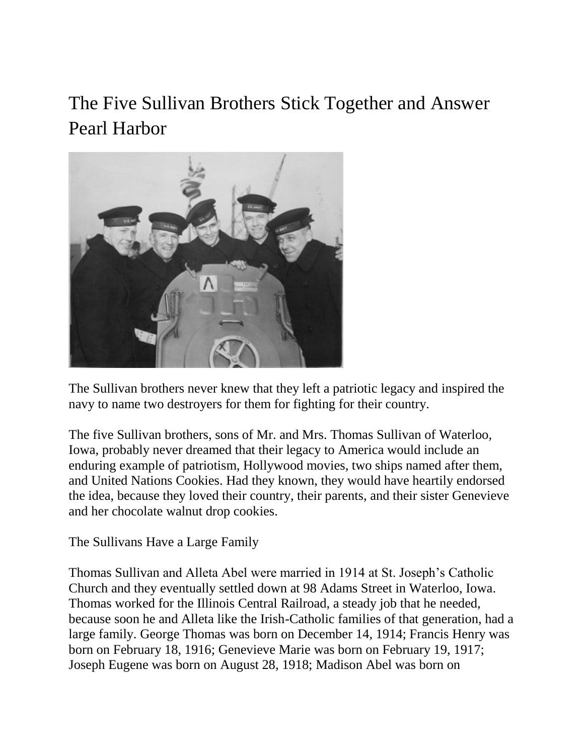The Five Sullivan Brothers Stick Together and Answer Pearl Harbor



The Sullivan brothers never knew that they left a patriotic legacy and inspired the navy to name two destroyers for them for fighting for their country.

The five Sullivan brothers, sons of Mr. and Mrs. Thomas Sullivan of Waterloo, Iowa, probably never dreamed that their legacy to America would include an enduring example of patriotism, Hollywood movies, two ships named after them, and United Nations Cookies. Had they known, they would have heartily endorsed the idea, because they loved their country, their parents, and their sister Genevieve and her chocolate walnut drop cookies.

The Sullivans Have a Large Family

[Thomas Sullivan](http://www.homeofheroes.com/brotherhood/sullivans.html) and Alleta Abel were married in 1914 at St. Joseph's Catholic Church and they eventually settled down at 98 Adams Street in Waterloo, Iowa. Thomas worked for the Illinois Central Railroad, a steady job that he needed, because soon he and Alleta like the Irish-Catholic families of that generation, had a large family. George Thomas was born on December 14, 1914; Francis Henry was born on February 18, 1916; Genevieve Marie was born on February 19, 1917; Joseph Eugene was born on August 28, 1918; Madison Abel was born on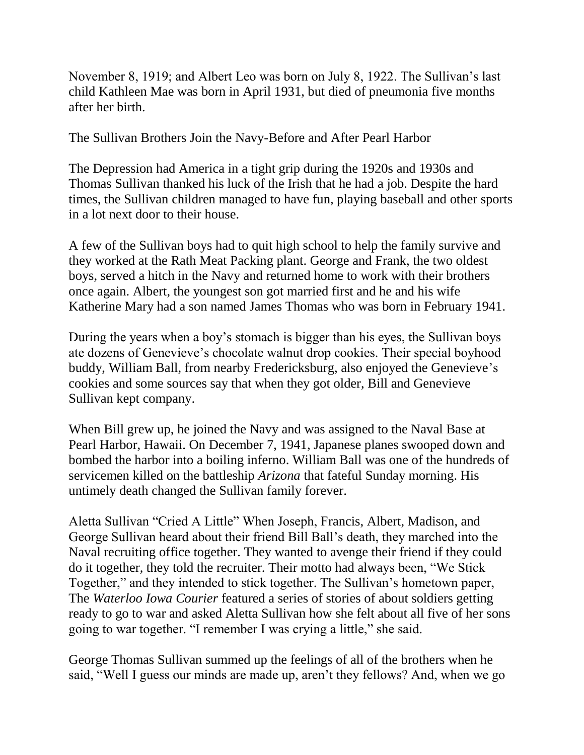November 8, 1919; and Albert Leo was born on July 8, 1922. The Sullivan's last child Kathleen Mae was born in April 1931, but died of pneumonia five months after her birth.

The Sullivan Brothers Join the Navy-Before and After Pearl Harbor

The Depression had America in a tight grip during the 1920s and 1930s and Thomas Sullivan thanked his luck of the Irish that he had a job. Despite the hard times, the Sullivan children managed to have fun, playing baseball and other sports in a lot next door to their house.

A few of the Sullivan boys had to quit high school to help the family survive and they worked at the Rath Meat Packing plant. George and Frank, the two oldest boys, served a hitch in the Navy and returned home to work with their brothers once again. Albert, the youngest son got married first and he and his wife Katherine Mary had a son named James Thomas who was born in February 1941.

During the years when a boy's stomach is bigger than his eyes, the Sullivan boys ate dozens of Genevieve's chocolate walnut drop cookies. Their special boyhood buddy, William Ball, from nearby Fredericksburg, also enjoyed the Genevieve's cookies and some sources say that when they got older, Bill and Genevieve Sullivan kept company.

When Bill grew up, he joined the Navy and was assigned to the Naval Base at Pearl Harbor, Hawaii. On December 7, 1941, Japanese planes swooped down and bombed the harbor into a boiling inferno. William Ball was one of the hundreds of servicemen killed on the battleship *Arizona* that fateful Sunday morning. His untimely death changed the Sullivan family forever.

Aletta Sullivan "Cried A Little" When Joseph, Francis, Albert, Madison, and George Sullivan heard about their friend Bill Ball's death, they marched into the Naval recruiting office together. They wanted to avenge their friend if they could do it together, they told the recruiter. Their motto had always been, "We Stick Together," and they intended to stick together. The Sullivan's hometown paper, The *Waterloo Iowa Courier* featured a series of stories of about soldiers getting ready to go to war and asked Aletta Sullivan how she felt about all five of her sons going to war together. "I remember I was crying a little," she said.

George Thomas Sullivan summed up the feelings of all of the brothers when he said, "Well I guess our minds are made up, aren't they fellows? And, when we go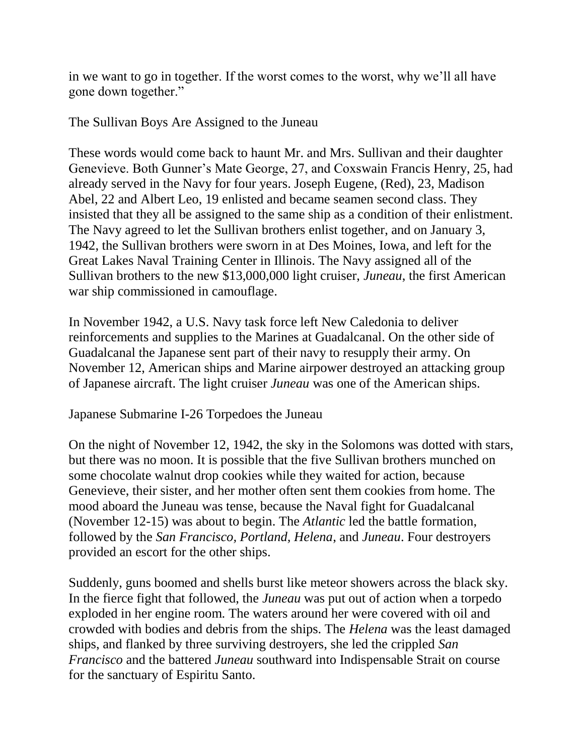in we want to go in together. If the worst comes to the worst, why we'll all have gone down together."

The Sullivan Boys Are Assigned to the Juneau

These words would come back to haunt Mr. and Mrs. Sullivan and their daughter Genevieve. Both Gunner's Mate George, 27, and Coxswain Francis Henry, 25, had already served in the Navy for four years. Joseph Eugene, (Red), 23, Madison Abel, 22 and Albert Leo, 19 enlisted and became seamen second class. They insisted that they all be assigned to the same ship as a condition of their enlistment. The Navy agreed to let the Sullivan brothers enlist together, and on January 3, 1942, the Sullivan brothers were sworn in at Des Moines, Iowa, and left for the Great Lakes Naval Training Center in Illinois. The Navy assigned all of the Sullivan brothers to the new \$13,000,000 light cruiser, *[Juneau](http://www.arlingtoncemetery.net/sullivan-brothers.htm)*, the first American war ship commissioned in camouflage.

In November 1942, a U.S. Navy task force left New Caledonia to deliver reinforcements and supplies to the Marines at Guadalcanal. On the other side of Guadalcanal the Japanese sent part of their navy to resupply their army. On November 12, American ships and Marine airpower destroyed an attacking group of Japanese aircraft. The light cruiser *Juneau* was one of the American ships.

Japanese Submarine I-26 Torpedoes the Juneau

On the night of November 12, 1942, the sky in the Solomons was dotted with stars, but there was no moon. It is possible that the five Sullivan brothers munched on some chocolate walnut drop cookies while they waited for action, because Genevieve, their sister, and her mother often sent them cookies from home. The mood aboard the Juneau was tense, because the Naval fight for Guadalcanal (November 12-15) was about to begin. The *Atlantic* led the battle formation, followed by the *San Francisco, Portland, Helena*, and *Juneau*. Four destroyers provided an escort for the other ships.

Suddenly, guns boomed and shells burst like meteor showers across the black sky. In the fierce fight that followed, the *Juneau* was put out of action when a torpedo exploded in her engine room. The waters around her were covered with oil and crowded with bodies and debris from the ships. The *Helena* was the least damaged ships, and flanked by three surviving destroyers, she led the crippled *San Francisco* and the battered *Juneau* southward into Indispensable Strait on course for the sanctuary of Espiritu Santo.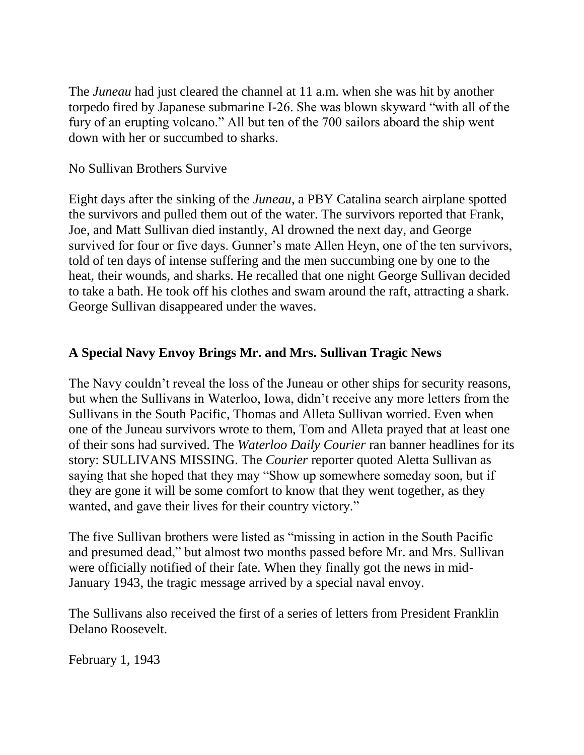The *[Juneau](http://www.history.navy.mil/faqs/faq72-2.htm)* had just cleared the channel at 11 a.m. when she was hit by another torpedo fired by Japanese submarine I-26. She was blown skyward "with all of the fury of an erupting volcano." All but ten of the 700 sailors aboard the ship went down with her or succumbed to sharks.

#### No Sullivan Brothers Survive

Eight days after the sinking of the *Juneau*, a PBY Catalina search airplane spotted the survivors and pulled them out of the water. The survivors reported that Frank, Joe, and Matt Sullivan died instantly, Al drowned the next day, and George survived for four or five days. Gunner's mate Allen Heyn, one of the ten survivors, told of ten days of intense suffering and the men succumbing one by one to the heat, their wounds, and sharks. He recalled that one night George Sullivan decided to take a bath. He took off his clothes and swam around the raft, attracting a shark. George Sullivan disappeared under the waves.

### **A Special Navy Envoy Brings Mr. and Mrs. Sullivan Tragic News**

The Navy couldn't reveal the loss of the Juneau or other ships for security reasons, but when the Sullivans in Waterloo, Iowa, didn't receive any more letters from the Sullivans in the South Pacific, Thomas and Alleta Sullivan worried. Even when one of the Juneau survivors wrote to them, Tom and Alleta prayed that at least one of their sons had survived. The *Waterloo Daily Courier* ran banner headlines for its story: SULLIVANS MISSING. The *Courier* reporter quoted Aletta Sullivan as saying that she hoped that they may "Show up somewhere someday soon, but if they are gone it will be some comfort to know that they went together, as they wanted, and gave their lives for their country victory."

The [five Sullivan brothers](http://web.archive.org/web/20110407045320/http:/www.arlingtoncemetery.net/sullivan-brothers.htm) were listed as "missing in action in the South Pacific and presumed dead," but almost two months passed before Mr. and Mrs. Sullivan were officially notified of their fate. When they finally got the news in mid-January 1943, the tragic message arrived by a special naval envoy.

The Sullivans also received the first of a series of letters from President Franklin Delano Roosevelt.

February 1, 1943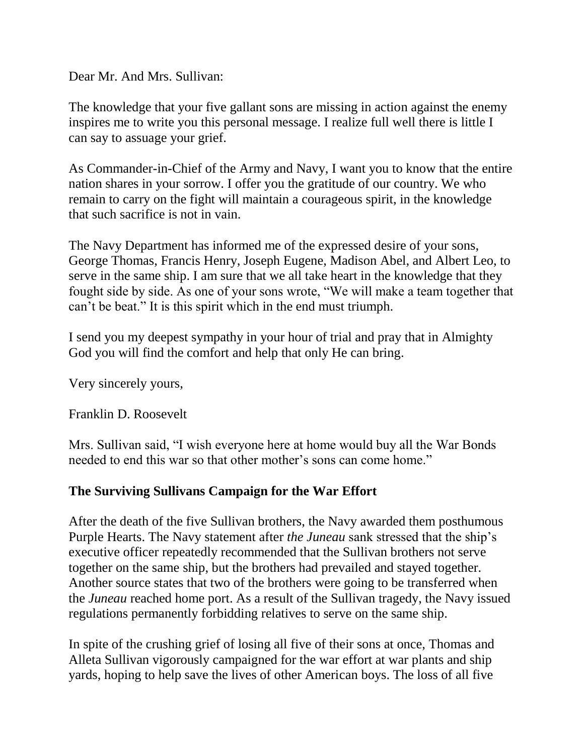Dear Mr. And Mrs. Sullivan:

The knowledge that your five gallant sons are missing in action against the enemy inspires me to write you this personal message. I realize full well there is little I can say to assuage your grief.

As Commander-in-Chief of the Army and Navy, I want you to know that the entire nation shares in your sorrow. I offer you the gratitude of our country. We who remain to carry on the fight will maintain a courageous spirit, in the knowledge that such sacrifice is not in vain.

The Navy Department has informed me of the expressed desire of your sons, George Thomas, Francis Henry, Joseph Eugene, Madison Abel, and Albert Leo, to serve in the same ship. I am sure that we all take heart in the knowledge that they fought side by side. As one of your sons wrote, "We will make a team together that can't be beat." It is this spirit which in the end must triumph.

I send you my deepest sympathy in your hour of trial and pray that in Almighty God you will find the comfort and help that only He can bring.

Very sincerely yours,

[Franklin D. Roosevelt](http://web.archive.org/web/20110407045320/http:/www.fdrlibrary.marist.edu/)

Mrs. Sullivan said, "I wish everyone here at home would buy all the War Bonds needed to end this war so that other mother's sons can come home."

#### **The Surviving Sullivans Campaign for the War Effort**

After the death of the five Sullivan brothers, the Navy awarded them posthumous Purple Hearts. The Navy statement after *the Juneau* sank stressed that the ship's executive officer repeatedly recommended that the Sullivan brothers not serve together on the same ship, but the brothers had prevailed and stayed together. Another source states that two of the brothers were going to be transferred when the *Juneau* reached home port. As a result of the Sullivan tragedy, the Navy issued regulations permanently forbidding relatives to serve on the same ship.

In spite of the crushing grief of losing all five of their sons at once, Thomas and Alleta Sullivan vigorously campaigned for the war effort at war plants and ship yards, hoping to help save the lives of other American boys. The loss of all five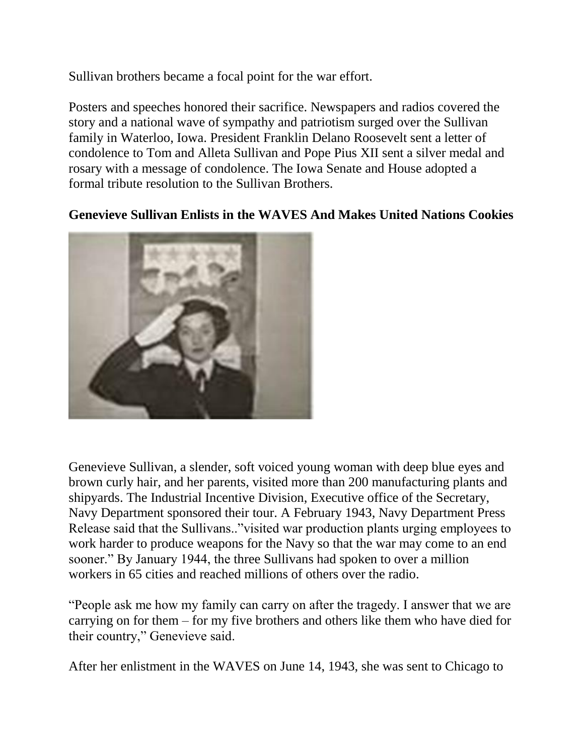Sullivan brothers became a focal point for the war effort.

Posters and speeches honored their sacrifice. Newspapers and radios covered the story and a national wave of sympathy and patriotism surged over the Sullivan family in Waterloo, Iowa. President Franklin Delano Roosevelt sent a letter of condolence to Tom and Alleta Sullivan and Pope Pius XII sent a silver medal and rosary with a message of condolence. The Iowa Senate and House adopted a formal tribute resolution to the Sullivan Brothers.

#### **Genevieve Sullivan Enlists in the WAVES And Makes United Nations Cookies**



Genevieve Sullivan, a slender, soft voiced young woman with deep blue eyes and brown curly hair, and her parents, visited more than 200 manufacturing plants and shipyards. The Industrial Incentive Division, Executive office of the Secretary, Navy Department sponsored their tour. A February 1943, Navy Department Press Release said that the Sullivans.."visited war production plants urging employees to work harder to produce weapons for the Navy so that the war may come to an end sooner." By January 1944, the three Sullivans had spoken to over a million workers in 65 cities and reached millions of others over the radio.

"People ask me how my family can carry on after the tragedy. I answer that we are carrying on for them – for my five brothers and others like them who have died for their country," Genevieve said.

After her enlistment in the WAVES on June 14, 1943, she was sent to Chicago to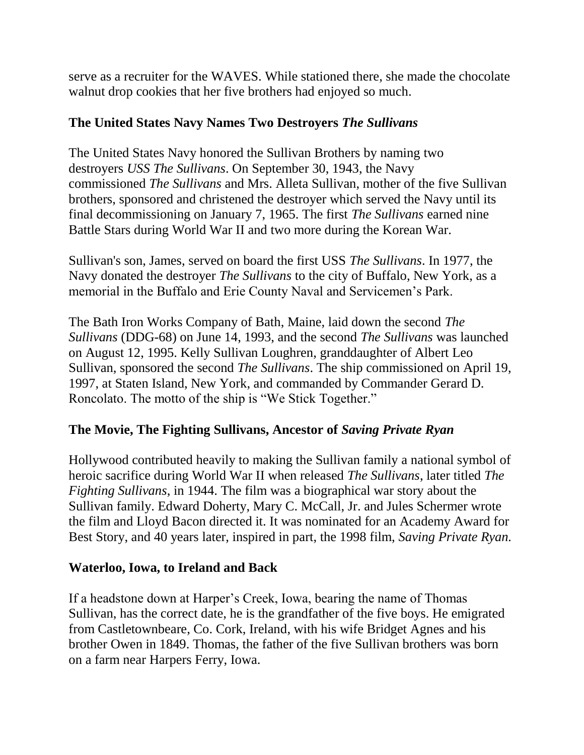serve as a recruiter for the WAVES. While stationed there, she made the chocolate walnut drop cookies that her five brothers had enjoyed so much.

### **The United States Navy Names Two Destroyers** *The Sullivans*

The United States Navy honored the Sullivan Brothers by naming two destroyers *USS The Sullivans*. On September 30, 1943, the Navy commissioned *The Sullivans* and Mrs. Alleta Sullivan, mother of the five Sullivan brothers, sponsored and christened the destroyer which served the Navy until its final decommissioning on January 7, 1965. The first *The Sullivans* earned nine Battle Stars during World War II and two more during the Korean War.

Sullivan's son, James, served on board the first USS *The Sullivans*. In 1977, the Navy donated the destroyer *The Sullivans* to the city of Buffalo, New York, as a memorial in the Buffalo and Erie County Naval and Servicemen's Park.

The Bath Iron Works Company of Bath, Maine, laid down the second *The Sullivans* (DDG-68) on June 14, 1993, and the second *The Sullivans* was launched on August 12, 1995. Kelly Sullivan Loughren, granddaughter of Albert Leo Sullivan, sponsored the second *The Sullivans*. The ship commissioned on April 19, 1997, at Staten Island, New York, and commanded by Commander Gerard D. Roncolato. The motto of the ship is "We Stick Together."

# **The Movie, The Fighting Sullivans, Ancestor of** *Saving Private Ryan*

Hollywood contributed heavily to making the Sullivan family a national symbol of heroic sacrifice during World War II when released *[The Sullivans](http://web.archive.org/web/20110407045320/http:/www.imdb.com/title/tt0037323/)*, later titled *The Fighting Sullivans*, in 1944. The film was a biographical war story about the Sullivan family. Edward Doherty, Mary C. McCall, Jr. and Jules Schermer wrote the film and Lloyd Bacon directed it. It was nominated for an Academy Award for Best Story, and 40 years later, inspired in part, the 1998 film, *Saving Private Ryan.*

# **Waterloo, Iowa, to Ireland and Back**

If a headstone down at Harper's Creek, Iowa, bearing the name of Thomas Sullivan, has the correct date, he is the grandfather of the five boys. He emigrated from [Castletownbeare, Co. Cork, Ireland,](http://web.archive.org/web/20110407045320/http:/www.mayo-ireland.ie/MyoAlive/Mag0597/SulEye15.htm) with his wife Bridget Agnes and his brother Owen in 1849. Thomas, the father of the five Sullivan brothers was born on a farm near Harpers Ferry, Iowa.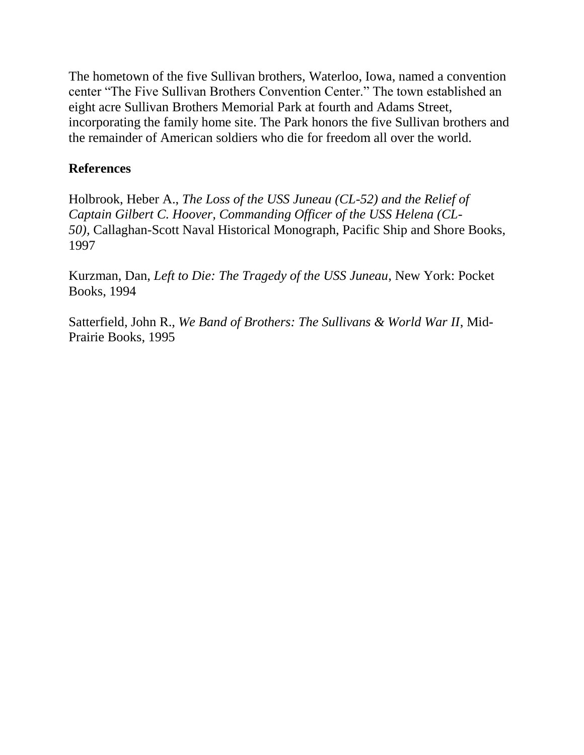The hometown of the five Sullivan brothers, [Waterloo, Iowa,](http://web.archive.org/web/20110407045320/http:/www.groutmuseumdistrict.org/sullivan/about.cfm) named a convention center "The Five Sullivan Brothers Convention Center." The town established an eight acre Sullivan Brothers Memorial Park at fourth and Adams Street, incorporating the family home site. The Park honors the five Sullivan brothers and the remainder of American soldiers who die for freedom all over the world.

#### **References**

Holbrook, Heber A., *The Loss of the USS Juneau (CL-52) and the Relief of Captain Gilbert C. Hoover, Commanding Officer of the USS Helena (CL-50),* Callaghan-Scott Naval Historical Monograph, Pacific Ship and Shore Books, 1997

Kurzman, Dan, *Left to Die: The Tragedy of the USS Juneau*, New York: Pocket Books, 1994

Satterfield, John R., *We Band of Brothers: The Sullivans & World War II*, Mid-Prairie Books, 1995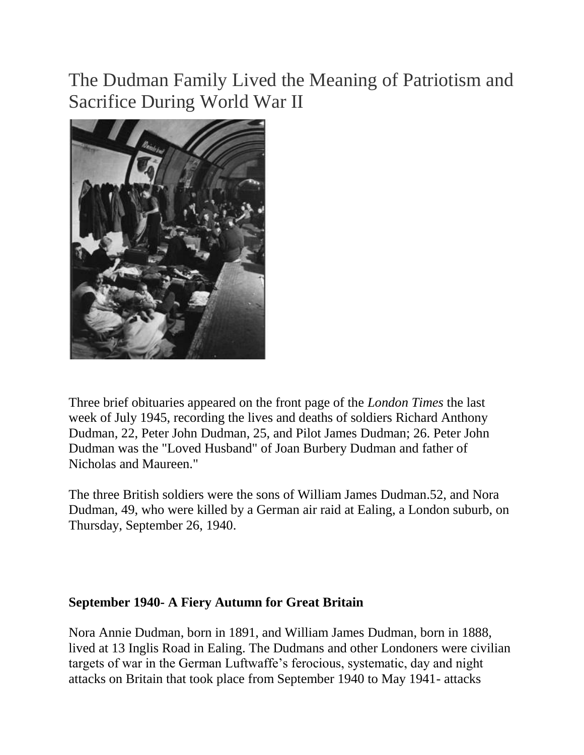The Dudman Family Lived the Meaning of Patriotism and Sacrifice During World War II



Three brief obituaries appeared on the front page of the *London Times* the last week of July 1945, recording the lives and deaths of soldiers Richard Anthony Dudman, 22, Peter John Dudman, 25, and Pilot James Dudman; 26. Peter John Dudman was the "Loved Husband" of Joan Burbery Dudman and father of Nicholas and Maureen."

The three British soldiers were the sons of William James Dudman.52, and Nora Dudman, 49, who were killed by a German air raid at Ealing, a London suburb, on Thursday, September 26, 1940.

#### **September 1940- A Fiery Autumn for Great Britain**

Nora Annie Dudman, born in 1891, and William James Dudman, born in 1888, lived at 13 Inglis Road in Ealing. The Dudmans and other Londoners were civilian targets of war in the German Luftwaffe's ferocious, systematic, day and night attacks on Britain that took place from September 1940 to May 1941- attacks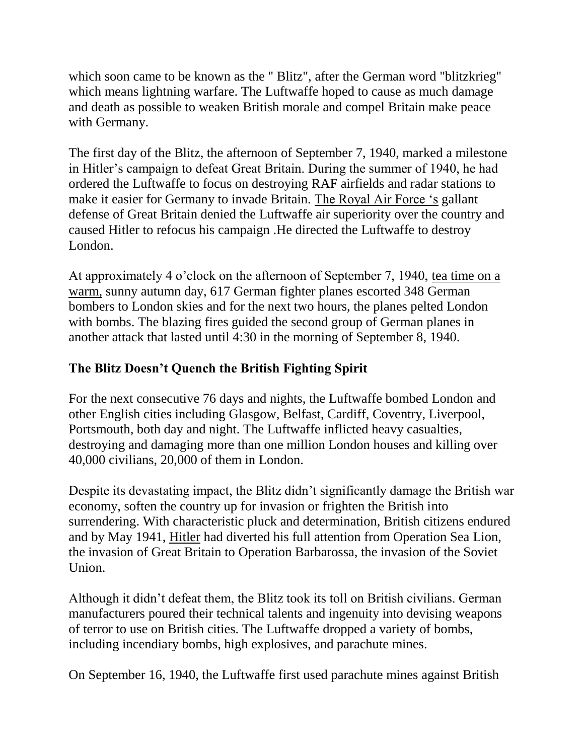which soon came to be known as the "Blitz", after the German word "blitzkrieg" which means lightning warfare. The Luftwaffe hoped to cause as much damage and death as possible to weaken British morale and compel Britain make peace with Germany.

The first day of the Blitz, the afternoon of September 7, 1940, marked a milestone in Hitler's campaign to defeat Great Britain. During the summer of 1940, he had ordered the Luftwaffe to focus on destroying RAF airfields and radar stations to make it easier for Germany to invade Britain. [The Royal Air Force 's](http://www.bbc.co.uk/history/events/hitler_postpones_the_invasion_of_britain) gallant defense of Great Britain denied the Luftwaffe air superiority over the country and caused Hitler to refocus his campaign .He directed the Luftwaffe to destroy London.

At approximately 4 o'clock on the afternoon of September 7, 1940, [tea time on a](http://www.bbc.co.uk/ww2peopleswar/stories/41/a2613241.shtml)  [warm,](http://www.bbc.co.uk/ww2peopleswar/stories/41/a2613241.shtml) sunny autumn day, 617 German fighter planes escorted 348 German bombers to London skies and for the next two hours, the planes pelted London with bombs. The blazing fires guided the second group of German planes in another attack that lasted until 4:30 in the morning of September 8, 1940.

# **The Blitz Doesn't Quench the British Fighting Spirit**

For the next consecutive 76 days and nights, the Luftwaffe bombed London and other English cities including Glasgow, Belfast, Cardiff, Coventry, Liverpool, Portsmouth, both day and night. The Luftwaffe inflicted heavy casualties, destroying and damaging more than one million London houses and killing over 40,000 civilians, 20,000 of them in London.

Despite its devastating impact, the Blitz didn't significantly damage the British war economy, soften the country up for invasion or frighten the British into surrendering. With characteristic pluck and determination, British citizens endured and by May 1941, [Hitler](http://www.bbc.co.uk/history/events/hitler_postpones_the_invasion_of_britain) had diverted his full attention from Operation Sea Lion, the invasion of Great Britain to Operation Barbarossa, the invasion of the Soviet Union.

Although it didn't defeat them, the Blitz took its toll on British civilians. German manufacturers poured their technical talents and ingenuity into devising weapons of terror to use on British cities. The Luftwaffe dropped a variety of bombs, including incendiary bombs, high explosives, and parachute mines.

On September 16, 1940, the Luftwaffe first used parachute mines against British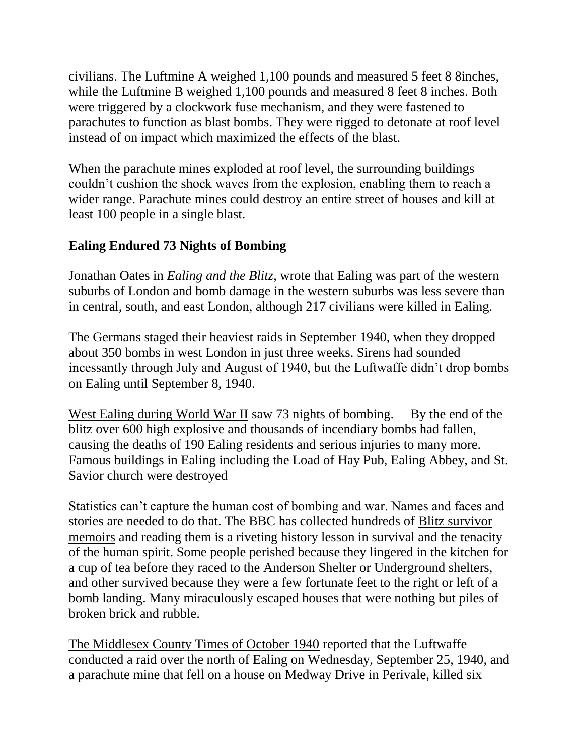civilians. The Luftmine A weighed 1,100 pounds and measured 5 feet 8 8inches, while the Luftmine B weighed 1,100 pounds and measured 8 feet 8 inches. Both were triggered by a clockwork fuse mechanism, and they were fastened to parachutes to function as blast bombs. They were rigged to detonate at roof level instead of on impact which maximized the effects of the blast.

When the parachute mines exploded at roof level, the surrounding buildings couldn't cushion the shock waves from the explosion, enabling them to reach a wider range. Parachute mines could destroy an entire street of houses and kill at least 100 people in a single blast.

### **Ealing Endured 73 Nights of Bombing**

Jonathan Oates in *Ealing and the Blitz*, wrote that Ealing was part of the western suburbs of London and bomb damage in the western suburbs was less severe than in central, south, and east London, although 217 civilians were killed in Ealing.

The Germans staged their heaviest raids in September 1940, when they dropped about 350 bombs in west London in just three weeks. Sirens had sounded incessantly through July and August of 1940, but the Luftwaffe didn't drop bombs on Ealing until September 8, 1940.

[West Ealing during World War II](http://www.westealingneighbours.org.uk/index.php?option=content&task=view&id=775&catid=52&Itemid=52) saw 73 nights of bombing. By the end of the blitz over 600 high explosive and thousands of incendiary bombs had fallen, causing the deaths of 190 Ealing residents and serious injuries to many more. Famous buildings in Ealing including the Load of Hay Pub, Ealing Abbey, and St. Savior church were destroyed

Statistics can't capture the human cost of bombing and war. Names and faces and stories are needed to do that. The BBC has collected hundreds of [Blitz survivor](http://www.bbc.co.uk/ww2peopleswar/stories/02/a2065402.shtml)  [memoirs](http://www.bbc.co.uk/ww2peopleswar/stories/02/a2065402.shtml) and reading them is a riveting history lesson in survival and the tenacity of the human spirit. Some people perished because they lingered in the kitchen for a cup of tea before they raced to the Anderson Shelter or Underground shelters, and other survived because they were a few fortunate feet to the right or left of a bomb landing. Many miraculously escaped houses that were nothing but piles of broken brick and rubble.

[The Middlesex County Times of October 1940](http://www.ealing.gov.uk/downloads/file/106/ealing_and_the_blitz) reported that the Luftwaffe conducted a raid over the north of Ealing on Wednesday, September 25, 1940, and a parachute mine that fell on a house on Medway Drive in Perivale, killed six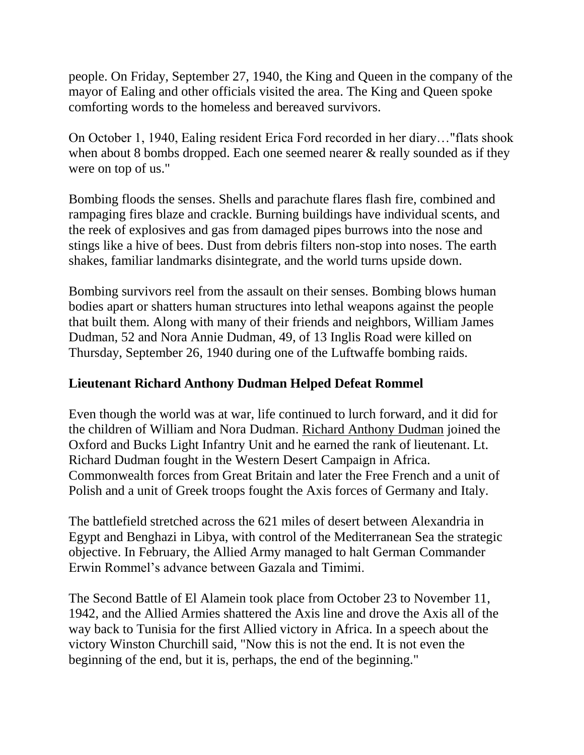people. On Friday, September 27, 1940, the King and Queen in the company of the mayor of Ealing and other officials visited the area. The King and Queen spoke comforting words to the homeless and bereaved survivors.

On October 1, 1940, Ealing resident Erica Ford recorded in her diary…"flats shook when about 8 bombs dropped. Each one seemed nearer & really sounded as if they were on top of us."

Bombing floods the senses. Shells and parachute flares flash fire, combined and rampaging fires blaze and crackle. Burning buildings have individual scents, and the reek of explosives and gas from damaged pipes burrows into the nose and stings like a hive of bees. Dust from debris filters non-stop into noses. The earth shakes, familiar landmarks disintegrate, and the world turns upside down.

Bombing survivors reel from the assault on their senses. Bombing blows human bodies apart or shatters human structures into lethal weapons against the people that built them. Along with many of their friends and neighbors, William James Dudman, 52 and Nora Annie Dudman, 49, of 13 Inglis Road were killed on Thursday, September 26, 1940 during one of the Luftwaffe bombing raids.

#### **Lieutenant Richard Anthony Dudman Helped Defeat Rommel**

Even though the world was at war, life continued to lurch forward, and it did for the children of William and Nora Dudman. [Richard Anthony Dudman](http://www.cwgc.org/search/casualty_details.aspx?casualty=2093554) joined the Oxford and Bucks Light Infantry Unit and he earned the rank of lieutenant. Lt. Richard Dudman fought in the Western Desert Campaign in Africa. Commonwealth forces from Great Britain and later the Free French and a unit of Polish and a unit of Greek troops fought the Axis forces of Germany and Italy.

The battlefield stretched across the 621 miles of desert between Alexandria in Egypt and Benghazi in Libya, with control of the Mediterranean Sea the strategic objective. In February, the Allied Army managed to halt German Commander Erwin Rommel's advance between Gazala and Timimi.

The Second Battle of El Alamein took place from October 23 to November 11, 1942, and the Allied Armies shattered the Axis line and drove the Axis all of the way back to Tunisia for the first Allied victory in Africa. In a speech about the victory Winston Churchill said, "Now this is not the end. It is not even the beginning of the end, but it is, perhaps, the end of the beginning."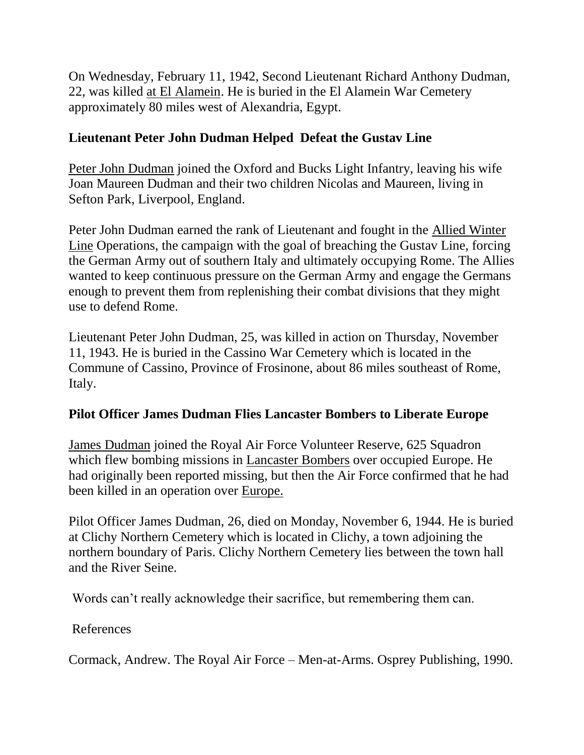On Wednesday, February 11, 1942, Second Lieutenant Richard Anthony Dudman, 22, was killed [at El Alamein.](http://www.bbc.co.uk/history/worldwars/wwtwo/battle_el_alamein_01.shtml) He is buried in the El Alamein War Cemetery approximately 80 miles west of Alexandria, Egypt.

## **Lieutenant Peter John Dudman Helped Defeat the Gustav Line**

[Peter John Dudman](http://www.cwgc.org/search/casualty_details.aspx?casualty=2608902) joined the Oxford and Bucks Light Infantry, leaving his wife Joan Maureen Dudman and their two children Nicolas and Maureen, living in Sefton Park, Liverpool, England.

Peter John Dudman earned the rank of Lieutenant and fought in the [Allied Winter](http://www.45thdivision.org/CampaignsBattles/Winterline_Italy_Nov_Dec_43.htm)  [Line](http://www.45thdivision.org/CampaignsBattles/Winterline_Italy_Nov_Dec_43.htm) Operations, the campaign with the goal of breaching the Gustav Line, forcing the German Army out of southern Italy and ultimately occupying Rome. The Allies wanted to keep continuous pressure on the German Army and engage the Germans enough to prevent them from replenishing their combat divisions that they might use to defend Rome.

Lieutenant Peter John Dudman, 25, was killed in action on Thursday, November 11, 1943. He is buried in the Cassino War Cemetery which is located in the Commune of Cassino, Province of Frosinone, about 86 miles southeast of Rome, Italy.

#### **Pilot Officer James Dudman Flies Lancaster Bombers to Liberate Europe**

[James Dudman](http://www.cwgc.org/search/casualty_details.aspx?casualty=2235075) joined the Royal Air Force Volunteer Reserve, 625 Squadron which flew bombing missions in [Lancaster Bombers](http://www.bbc.co.uk/ww2peopleswar/stories/13/a7595913.shtml) over occupied Europe. He had originally been reported missing, but then the Air Force confirmed that he had been killed in an operation over [Europe.](http://www.lancaster-archive.com/lanc_hist.htm)

Pilot Officer James Dudman, 26, died on Monday, November 6, 1944. He is buried at Clichy Northern Cemetery which is located in Clichy, a town adjoining the northern boundary of Paris. Clichy Northern Cemetery lies between the town hall and the River Seine.

Words can't really acknowledge their sacrifice, but remembering them can.

References

Cormack, Andrew. The Royal Air Force – Men-at-Arms. Osprey Publishing, 1990.